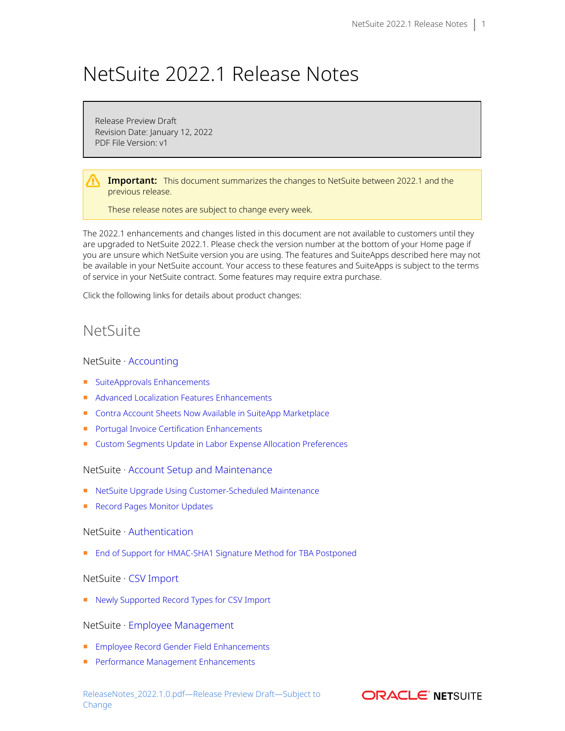# NetSuite 2022.1 Release Notes

Release Preview Draft Revision Date: January 12, 2022 PDF File Version: v1

**Important:** This document summarizes the changes to NetSuite between 2022.1 and the previous release.

These release notes are subject to change every week.

The 2022.1 enhancements and changes listed in this document are not available to customers until they are upgraded to NetSuite 2022.1. Please check the version number at the bottom of your Home page if you are unsure which NetSuite version you are using. The features and SuiteApps described here may not be available in your NetSuite account. Your access to these features and SuiteApps is subject to the terms of service in your NetSuite contract. Some features may require extra purchase.

Click the following links for details about product changes:

## NetSuite

#### NetSuite · [Accounting](#page-3-0)

- [SuiteApprovals Enhancements](#page-16-0)
- [Advanced Localization Features Enhancements](#page-21-0)
- [Contra Account Sheets Now Available in SuiteApp Marketplace](#page-21-1)
- [Portugal Invoice Certification Enhancements](#page-22-0)
- [Custom Segments Update in Labor Expense Allocation Preferences](#page-23-0)

#### NetSuite · [Account Setup and Maintenance](#page-3-1)

- [NetSuite Upgrade Using Customer-Scheduled Maintenance](#page-4-0)
- [Record Pages Monitor Updates](#page-17-0)

#### NetSuite · [Authentication](#page-4-1)

■ [End of Support for HMAC-SHA1 Signature Method for TBA Postponed](#page-4-2)

#### NetSuite · [CSV Import](#page-4-3)

■ [Newly Supported Record Types for CSV Import](#page-5-0)

#### NetSuite · [Employee Management](#page-6-0)

- [Employee Record Gender Field Enhancements](#page-6-1)
- [Performance Management Enhancements](#page-6-2)

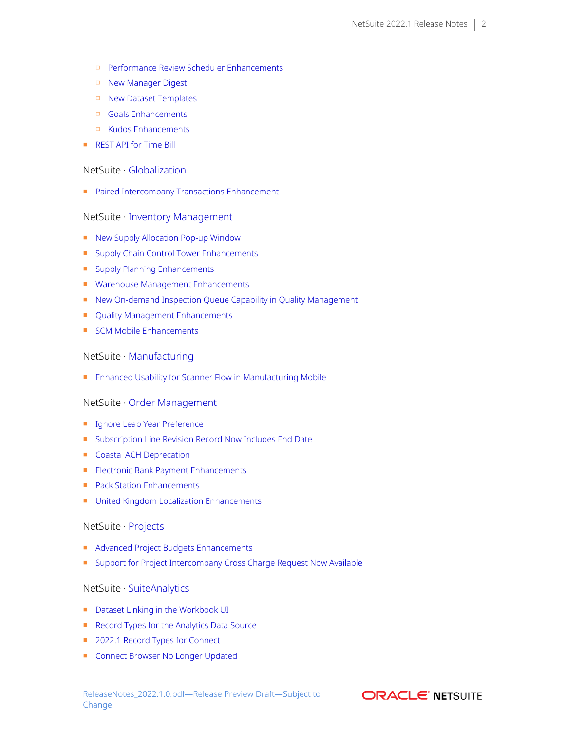- □ [Performance Review Scheduler Enhancements](#page-6-3)
- □ [New Manager Digest](#page-7-0)
- □ [New Dataset Templates](#page-7-1)
- □ [Goals Enhancements](#page-7-2)
- □ [Kudos Enhancements](#page-8-0)
- [REST API for Time Bill](#page-8-1)

#### NetSuite · [Globalization](#page-8-2)

■ [Paired Intercompany Transactions Enhancement](#page-8-3)

#### NetSuite · [Inventory Management](#page-8-4)

- [New Supply Allocation Pop-up Window](#page-8-5)
- [Supply Chain Control Tower Enhancements](#page-9-0)
- [Supply Planning Enhancements](#page-10-0)
- [Warehouse Management Enhancements](#page-10-1)
- [New On-demand Inspection Queue Capability in Quality Management](#page-18-0)
- [Quality Management Enhancements](#page-18-1)
- [SCM Mobile Enhancements](#page-20-0)

#### NetSuite · [Manufacturing](#page-12-0)

■ [Enhanced Usability for Scanner Flow in Manufacturing Mobile](#page-23-1)

#### NetSuite · [Order Management](#page-12-1)

- [Ignore Leap Year Preference](#page-12-2)
- [Subscription Line Revision Record Now Includes End Date](#page-12-3)
- [Coastal ACH Deprecation](#page-12-4)
- [Electronic Bank Payment Enhancements](#page-23-2)
- [Pack Station Enhancements](#page-25-0)
- [United Kingdom Localization Enhancements](#page-22-1)

#### NetSuite · [Projects](#page-13-0)

- [Advanced Project Budgets Enhancements](#page-13-1)
- [Support for Project Intercompany Cross Charge Request Now Available](#page-13-2)

#### NetSuite · [SuiteAnalytics](#page-14-0)

- [Dataset Linking in the Workbook UI](#page-14-1)
- [Record Types for the Analytics Data Source](#page-15-0)
- [2022.1 Record Types for Connect](#page-15-1)
- [Connect Browser No Longer Updated](#page-15-2)

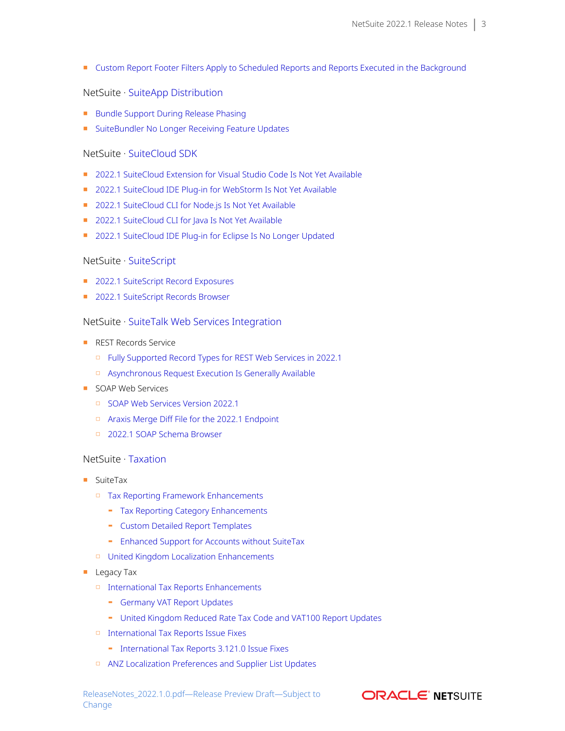■ [Custom Report Footer Filters Apply to Scheduled Reports and Reports Executed in the Background](#page-16-1)

#### NetSuite · [SuiteApp Distribution](#page-29-0)

- [Bundle Support During Release Phasing](#page-29-1)
- [SuiteBundler No Longer Receiving Feature Updates](#page-29-2)

#### NetSuite · [SuiteCloud SDK](#page-30-0)

- [2022.1 SuiteCloud Extension for Visual Studio Code Is Not Yet Available](#page-30-1)
- [2022.1 SuiteCloud IDE Plug-in for WebStorm Is Not Yet Available](#page-30-2)
- [2022.1 SuiteCloud CLI for Node.js Is Not Yet Available](#page-30-3)
- [2022.1 SuiteCloud CLI for Java Is Not Yet Available](#page-31-0)
- [2022.1 SuiteCloud IDE Plug-in for Eclipse Is No Longer Updated](#page-31-1)

#### NetSuite · [SuiteScript](#page-31-2)

- [2022.1 SuiteScript Record Exposures](#page-31-3)
- [2022.1 SuiteScript Records Browser](#page-31-4)

#### NetSuite · [SuiteTalk Web Services Integration](#page-31-5)

- REST Records Service
	- □ [Fully Supported Record Types for REST Web Services in 2022.1](#page-32-0)
	- □ [Asynchronous Request Execution Is Generally Available](#page-32-1)
- SOAP Web Services
	- □ [SOAP Web Services Version 2022.1](#page-32-2)
	- □ [Araxis Merge Diff File for the 2022.1 Endpoint](#page-33-0)
	- □ [2022.1 SOAP Schema Browser](#page-34-0)

### NetSuite · [Taxation](#page-34-1)

- SuiteTax
	- □ [Tax Reporting Framework Enhancements](#page-26-0)
		- ▬ [Tax Reporting Category Enhancements](#page-26-1)
		- ▬ [Custom Detailed Report Templates](#page-26-2)
		- ▬ [Enhanced Support for Accounts without SuiteTax](#page-27-0)
	- □ [United Kingdom Localization Enhancements](#page-22-1)
- Legacy Tax
	- □ [International Tax Reports Enhancements](#page-27-1)
		- ▬ [Germany VAT Report Updates](#page-27-2)
		- ▬ [United Kingdom Reduced Rate Tax Code and VAT100 Report Updates](#page-28-0)
	- □ [International Tax Reports Issue Fixes](#page-28-1)
		- ▬ [International Tax Reports 3.121.0 Issue Fixes](#page-28-2)
	- □ [ANZ Localization Preferences and Supplier List Updates](#page-21-2)

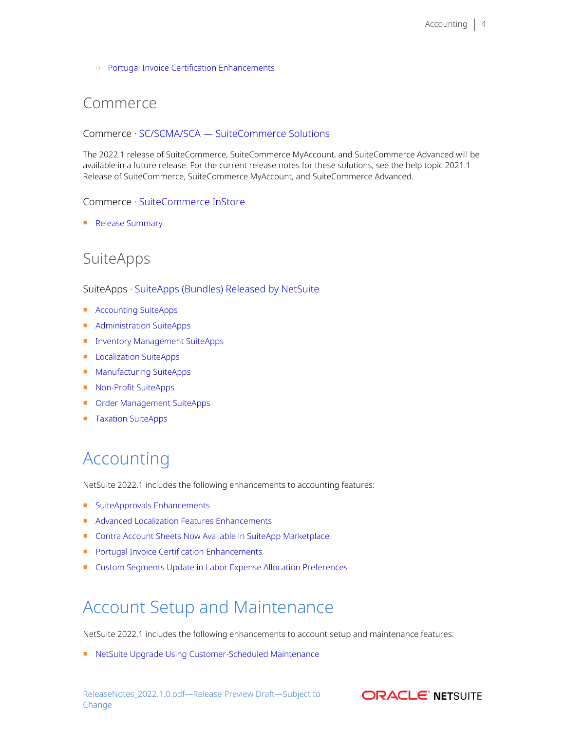#### □ [Portugal Invoice Certification Enhancements](#page-22-0)

## Commerce

#### Commerce · [SC/SCMA/SCA — SuiteCommerce Solutions](#page-5-1)

The 2022.1 release of SuiteCommerce, SuiteCommerce MyAccount, and SuiteCommerce Advanced will be available in a future release. For the current release notes for these solutions, see the help topic 2021.1 Release of SuiteCommerce, SuiteCommerce MyAccount, and SuiteCommerce Advanced.

#### Commerce · [SuiteCommerce InStore](#page-5-2)

■ [Release Summary](#page-5-3)

## SuiteApps

#### SuiteApps · [SuiteApps \(Bundles\) Released by NetSuite](#page-16-2)

- [Accounting SuiteApps](#page-16-3)
- [Administration SuiteApps](#page-17-1)
- [Inventory Management SuiteApps](#page-18-2)
- [Localization SuiteApps](#page-20-1)
- [Manufacturing SuiteApps](#page-22-2)
- [Non-Profit SuiteApps](#page-23-3)
- [Order Management SuiteApps](#page-23-4)
- <span id="page-3-0"></span>■ [Taxation SuiteApps](#page-25-1)

# Accounting

NetSuite 2022.1 includes the following enhancements to accounting features:

- [SuiteApprovals Enhancements](#page-16-0)
- [Advanced Localization Features Enhancements](#page-21-0)
- [Contra Account Sheets Now Available in SuiteApp Marketplace](#page-21-1)
- [Portugal Invoice Certification Enhancements](#page-22-0)
- <span id="page-3-1"></span>■ [Custom Segments Update in Labor Expense Allocation Preferences](#page-23-0)

# Account Setup and Maintenance

NetSuite 2022.1 includes the following enhancements to account setup and maintenance features:

■ [NetSuite Upgrade Using Customer-Scheduled Maintenance](#page-4-0)

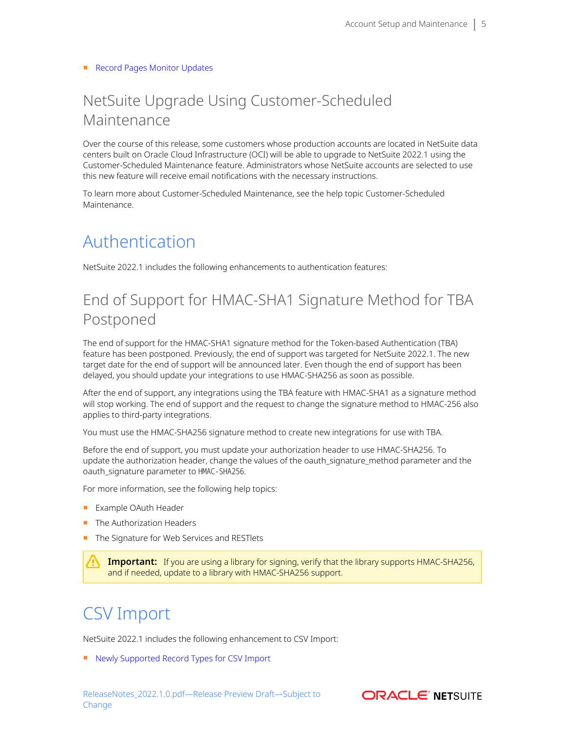#### <span id="page-4-0"></span>■ [Record Pages Monitor Updates](#page-17-0)

# NetSuite Upgrade Using Customer-Scheduled Maintenance

Over the course of this release, some customers whose production accounts are located in NetSuite data centers built on Oracle Cloud Infrastructure (OCI) will be able to upgrade to NetSuite 2022.1 using the Customer-Scheduled Maintenance feature. Administrators whose NetSuite accounts are selected to use this new feature will receive email notifications with the necessary instructions.

<span id="page-4-1"></span>To learn more about Customer-Scheduled Maintenance, see the help topic Customer-Scheduled Maintenance.

# Authentication

<span id="page-4-2"></span>NetSuite 2022.1 includes the following enhancements to authentication features:

# End of Support for HMAC-SHA1 Signature Method for TBA Postponed

The end of support for the HMAC-SHA1 signature method for the Token-based Authentication (TBA) feature has been postponed. Previously, the end of support was targeted for NetSuite 2022.1. The new target date for the end of support will be announced later. Even though the end of support has been delayed, you should update your integrations to use HMAC-SHA256 as soon as possible.

After the end of support, any integrations using the TBA feature with HMAC-SHA1 as a signature method will stop working. The end of support and the request to change the signature method to HMAC-256 also applies to third-party integrations.

You must use the HMAC-SHA256 signature method to create new integrations for use with TBA.

Before the end of support, you must update your authorization header to use HMAC-SHA256. To update the authorization header, change the values of the oauth\_signature\_method parameter and the oauth\_signature parameter to HMAC-SHA256.

For more information, see the following help topics:

- Example OAuth Header
- The Authorization Headers
- The Signature for Web Services and RESTlets

**Important:** If you are using a library for signing, verify that the library supports HMAC-SHA256, and if needed, update to a library with HMAC-SHA256 support.

# <span id="page-4-3"></span>CSV Import

NetSuite 2022.1 includes the following enhancement to CSV Import:

■ [Newly Supported Record Types for CSV Import](#page-5-0)

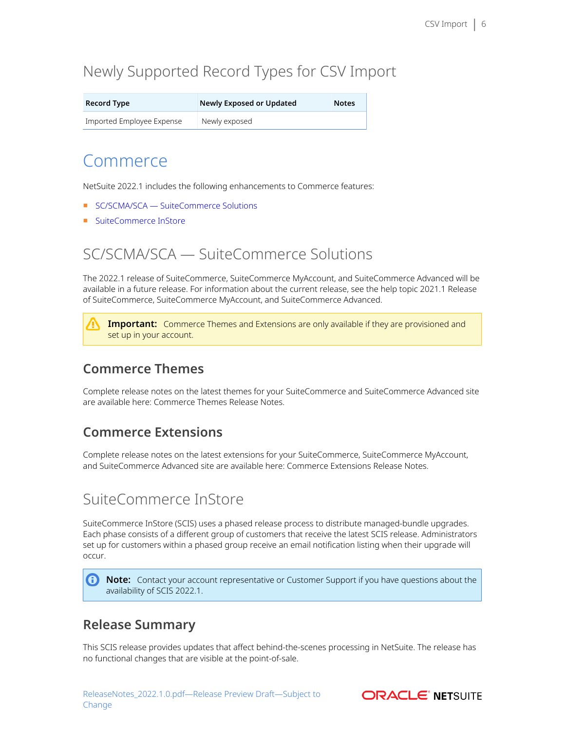# <span id="page-5-0"></span>Newly Supported Record Types for CSV Import

| <b>Record Type</b>        | Newly Exposed or Updated | <b>Notes</b> |
|---------------------------|--------------------------|--------------|
| Imported Employee Expense | Newly exposed            |              |

## Commerce

NetSuite 2022.1 includes the following enhancements to Commerce features:

- [SC/SCMA/SCA SuiteCommerce Solutions](#page-5-1)
- <span id="page-5-1"></span>■ [SuiteCommerce InStore](#page-5-2)

# SC/SCMA/SCA — SuiteCommerce Solutions

The 2022.1 release of SuiteCommerce, SuiteCommerce MyAccount, and SuiteCommerce Advanced will be available in a future release. For information about the current release, see the help topic 2021.1 Release of SuiteCommerce, SuiteCommerce MyAccount, and SuiteCommerce Advanced.

**Important:** Commerce Themes and Extensions are only available if they are provisioned and set up in your account.

## **Commerce Themes**

Complete release notes on the latest themes for your SuiteCommerce and SuiteCommerce Advanced site are available here: Commerce Themes Release Notes.

### **Commerce Extensions**

Complete release notes on the latest extensions for your SuiteCommerce, SuiteCommerce MyAccount, and SuiteCommerce Advanced site are available here: Commerce Extensions Release Notes.

# <span id="page-5-2"></span>SuiteCommerce InStore

SuiteCommerce InStore (SCIS) uses a phased release process to distribute managed-bundle upgrades. Each phase consists of a different group of customers that receive the latest SCIS release. Administrators set up for customers within a phased group receive an email notification listing when their upgrade will occur.

**C** Note: Contact your account representative or Customer Support if you have questions about the availability of SCIS 2022.1.

### <span id="page-5-3"></span>**Release Summary**

This SCIS release provides updates that affect behind-the-scenes processing in NetSuite. The release has no functional changes that are visible at the point-of-sale.

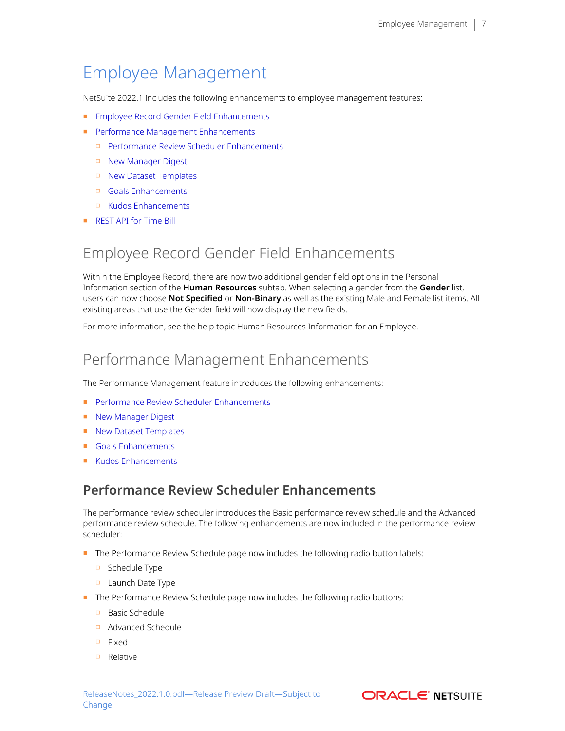# <span id="page-6-0"></span>Employee Management

NetSuite 2022.1 includes the following enhancements to employee management features:

- [Employee Record Gender Field Enhancements](#page-6-1)
- [Performance Management Enhancements](#page-6-2)
	- □ [Performance Review Scheduler Enhancements](#page-6-3)
	- □ [New Manager Digest](#page-7-0)
	- □ [New Dataset Templates](#page-7-1)
	- □ [Goals Enhancements](#page-7-2)
	- □ [Kudos Enhancements](#page-8-0)
- <span id="page-6-1"></span>■ [REST API for Time Bill](#page-8-1)

# Employee Record Gender Field Enhancements

Within the Employee Record, there are now two additional gender field options in the Personal Information section of the **Human Resources** subtab. When selecting a gender from the **Gender** list, users can now choose **Not Specified** or **Non-Binary** as well as the existing Male and Female list items. All existing areas that use the Gender field will now display the new fields.

<span id="page-6-2"></span>For more information, see the help topic Human Resources Information for an Employee.

## Performance Management Enhancements

The Performance Management feature introduces the following enhancements:

- [Performance Review Scheduler Enhancements](#page-6-3)
- [New Manager Digest](#page-7-0)
- [New Dataset Templates](#page-7-1)
- [Goals Enhancements](#page-7-2)
- <span id="page-6-3"></span>■ [Kudos Enhancements](#page-8-0)

### **Performance Review Scheduler Enhancements**

The performance review scheduler introduces the Basic performance review schedule and the Advanced performance review schedule. The following enhancements are now included in the performance review scheduler:

- The Performance Review Schedule page now includes the following radio button labels:
	- □ Schedule Type
	- □ Launch Date Type
- The Performance Review Schedule page now includes the following radio buttons:
	- □ Basic Schedule
	- □ Advanced Schedule
	- □ Fixed
	- □ Relative

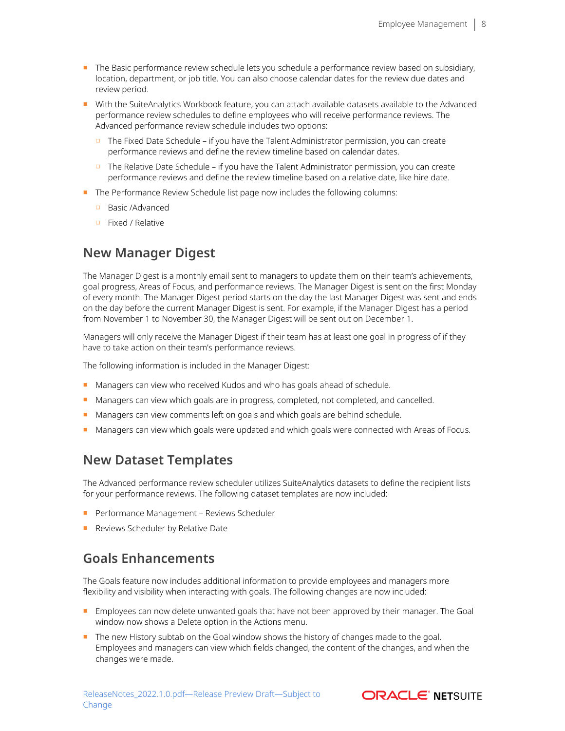- The Basic performance review schedule lets you schedule a performance review based on subsidiary, location, department, or job title. You can also choose calendar dates for the review due dates and review period.
- With the SuiteAnalytics Workbook feature, you can attach available datasets available to the Advanced performance review schedules to define employees who will receive performance reviews. The Advanced performance review schedule includes two options:
	- □ The Fixed Date Schedule if you have the Talent Administrator permission, you can create performance reviews and define the review timeline based on calendar dates.
	- □ The Relative Date Schedule if you have the Talent Administrator permission, you can create performance reviews and define the review timeline based on a relative date, like hire date.
- The Performance Review Schedule list page now includes the following columns:
	- □ Basic /Advanced
	- □ Fixed / Relative

### <span id="page-7-0"></span>**New Manager Digest**

The Manager Digest is a monthly email sent to managers to update them on their team's achievements, goal progress, Areas of Focus, and performance reviews. The Manager Digest is sent on the first Monday of every month. The Manager Digest period starts on the day the last Manager Digest was sent and ends on the day before the current Manager Digest is sent. For example, if the Manager Digest has a period from November 1 to November 30, the Manager Digest will be sent out on December 1.

Managers will only receive the Manager Digest if their team has at least one goal in progress of if they have to take action on their team's performance reviews.

The following information is included in the Manager Digest:

- Managers can view who received Kudos and who has goals ahead of schedule.
- Managers can view which goals are in progress, completed, not completed, and cancelled.
- Managers can view comments left on goals and which goals are behind schedule.
- <span id="page-7-1"></span>■ Managers can view which goals were updated and which goals were connected with Areas of Focus.

### **New Dataset Templates**

The Advanced performance review scheduler utilizes SuiteAnalytics datasets to define the recipient lists for your performance reviews. The following dataset templates are now included:

- Performance Management Reviews Scheduler
- <span id="page-7-2"></span>■ Reviews Scheduler by Relative Date

### **Goals Enhancements**

The Goals feature now includes additional information to provide employees and managers more flexibility and visibility when interacting with goals. The following changes are now included:

- Employees can now delete unwanted goals that have not been approved by their manager. The Goal window now shows a Delete option in the Actions menu.
- The new History subtab on the Goal window shows the history of changes made to the goal. Employees and managers can view which fields changed, the content of the changes, and when the changes were made.

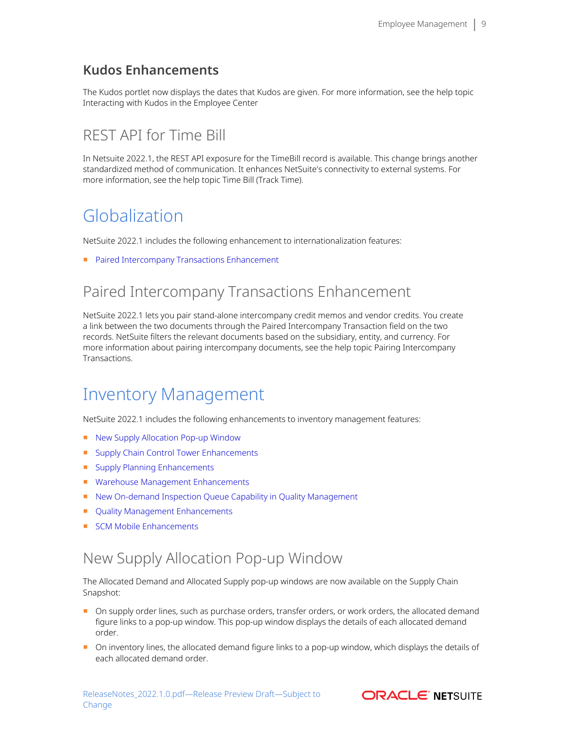## <span id="page-8-0"></span>**Kudos Enhancements**

The Kudos portlet now displays the dates that Kudos are given. For more information, see the help topic Interacting with Kudos in the Employee Center

# <span id="page-8-1"></span>REST API for Time Bill

In Netsuite 2022.1, the REST API exposure for the TimeBill record is available. This change brings another standardized method of communication. It enhances NetSuite's connectivity to external systems. For more information, see the help topic Time Bill (Track Time).

# <span id="page-8-2"></span>Globalization

NetSuite 2022.1 includes the following enhancement to internationalization features:

<span id="page-8-3"></span>■ [Paired Intercompany Transactions Enhancement](#page-8-3)

# Paired Intercompany Transactions Enhancement

NetSuite 2022.1 lets you pair stand-alone intercompany credit memos and vendor credits. You create a link between the two documents through the Paired Intercompany Transaction field on the two records. NetSuite filters the relevant documents based on the subsidiary, entity, and currency. For more information about pairing intercompany documents, see the help topic Pairing Intercompany Transactions.

# <span id="page-8-4"></span>Inventory Management

NetSuite 2022.1 includes the following enhancements to inventory management features:

- [New Supply Allocation Pop-up Window](#page-8-5)
- [Supply Chain Control Tower Enhancements](#page-9-0)
- [Supply Planning Enhancements](#page-10-0)
- [Warehouse Management Enhancements](#page-10-1)
- [New On-demand Inspection Queue Capability in Quality Management](#page-18-0)
- [Quality Management Enhancements](#page-18-1)
- <span id="page-8-5"></span>■ [SCM Mobile Enhancements](#page-20-0)

# New Supply Allocation Pop-up Window

The Allocated Demand and Allocated Supply pop-up windows are now available on the Supply Chain Snapshot:

- On supply order lines, such as purchase orders, transfer orders, or work orders, the allocated demand figure links to a pop-up window. This pop-up window displays the details of each allocated demand order.
- On inventory lines, the allocated demand figure links to a pop-up window, which displays the details of each allocated demand order.

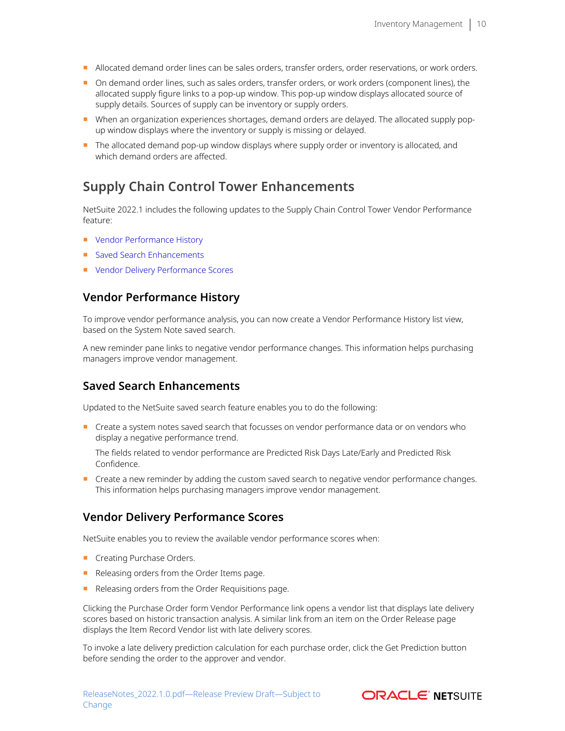- Allocated demand order lines can be sales orders, transfer orders, order reservations, or work orders.
- On demand order lines, such as sales orders, transfer orders, or work orders (component lines), the allocated supply figure links to a pop-up window. This pop-up window displays allocated source of supply details. Sources of supply can be inventory or supply orders.
- When an organization experiences shortages, demand orders are delayed. The allocated supply popup window displays where the inventory or supply is missing or delayed.
- The allocated demand pop-up window displays where supply order or inventory is allocated, and which demand orders are affected.

### <span id="page-9-0"></span>**Supply Chain Control Tower Enhancements**

NetSuite 2022.1 includes the following updates to the Supply Chain Control Tower Vendor Performance feature:

- [Vendor Performance History](#page-9-1)
- [Saved Search Enhancements](#page-9-2)
- <span id="page-9-1"></span>■ [Vendor Delivery Performance Scores](#page-9-3)

### **Vendor Performance History**

To improve vendor performance analysis, you can now create a Vendor Performance History list view, based on the System Note saved search.

A new reminder pane links to negative vendor performance changes. This information helps purchasing managers improve vendor management.

### <span id="page-9-2"></span>**Saved Search Enhancements**

Updated to the NetSuite saved search feature enables you to do the following:

Create a system notes saved search that focusses on vendor performance data or on vendors who display a negative performance trend.

The fields related to vendor performance are Predicted Risk Days Late/Early and Predicted Risk Confidence.

■ Create a new reminder by adding the custom saved search to negative vendor performance changes. This information helps purchasing managers improve vendor management.

### <span id="page-9-3"></span>**Vendor Delivery Performance Scores**

NetSuite enables you to review the available vendor performance scores when:

- Creating Purchase Orders.
- Releasing orders from the Order Items page.
- Releasing orders from the Order Requisitions page.

Clicking the Purchase Order form Vendor Performance link opens a vendor list that displays late delivery scores based on historic transaction analysis. A similar link from an item on the Order Release page displays the Item Record Vendor list with late delivery scores.

To invoke a late delivery prediction calculation for each purchase order, click the Get Prediction button before sending the order to the approver and vendor.

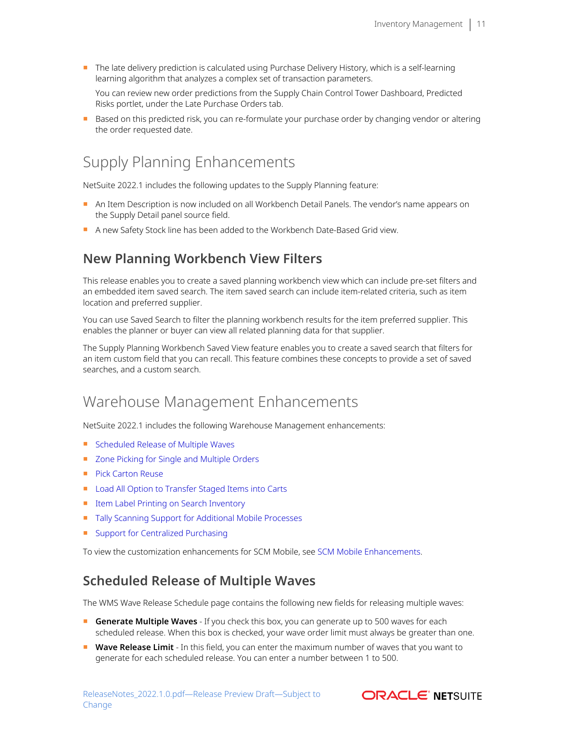■ The late delivery prediction is calculated using Purchase Delivery History, which is a self-learning learning algorithm that analyzes a complex set of transaction parameters.

You can review new order predictions from the Supply Chain Control Tower Dashboard, Predicted Risks portlet, under the Late Purchase Orders tab.

■ Based on this predicted risk, you can re-formulate your purchase order by changing vendor or altering the order requested date.

# <span id="page-10-0"></span>Supply Planning Enhancements

NetSuite 2022.1 includes the following updates to the Supply Planning feature:

- An Item Description is now included on all Workbench Detail Panels. The vendor's name appears on the Supply Detail panel source field.
- A new Safety Stock line has been added to the Workbench Date-Based Grid view.

### **New Planning Workbench View Filters**

This release enables you to create a saved planning workbench view which can include pre-set filters and an embedded item saved search. The item saved search can include item-related criteria, such as item location and preferred supplier.

You can use Saved Search to filter the planning workbench results for the item preferred supplier. This enables the planner or buyer can view all related planning data for that supplier.

The Supply Planning Workbench Saved View feature enables you to create a saved search that filters for an item custom field that you can recall. This feature combines these concepts to provide a set of saved searches, and a custom search.

## <span id="page-10-1"></span>Warehouse Management Enhancements

NetSuite 2022.1 includes the following Warehouse Management enhancements:

- [Scheduled Release of Multiple Waves](#page-10-2)
- [Zone Picking for Single and Multiple Orders](#page-11-0)
- [Pick Carton Reuse](#page-11-1)
- [Load All Option to Transfer Staged Items into Carts](#page-11-2)
- [Item Label Printing on Search Inventory](#page-11-3)
- [Tally Scanning Support for Additional Mobile Processes](#page-11-4)
- [Support for Centralized Purchasing](#page-12-5)

<span id="page-10-2"></span>To view the customization enhancements for SCM Mobile, see [SCM Mobile Enhancements.](#page-20-0)

### **Scheduled Release of Multiple Waves**

The WMS Wave Release Schedule page contains the following new fields for releasing multiple waves:

- **Generate Multiple Waves** If you check this box, you can generate up to 500 waves for each scheduled release. When this box is checked, your wave order limit must always be greater than one.
- Wave Release Limit In this field, you can enter the maximum number of waves that you want to generate for each scheduled release. You can enter a number between 1 to 500.

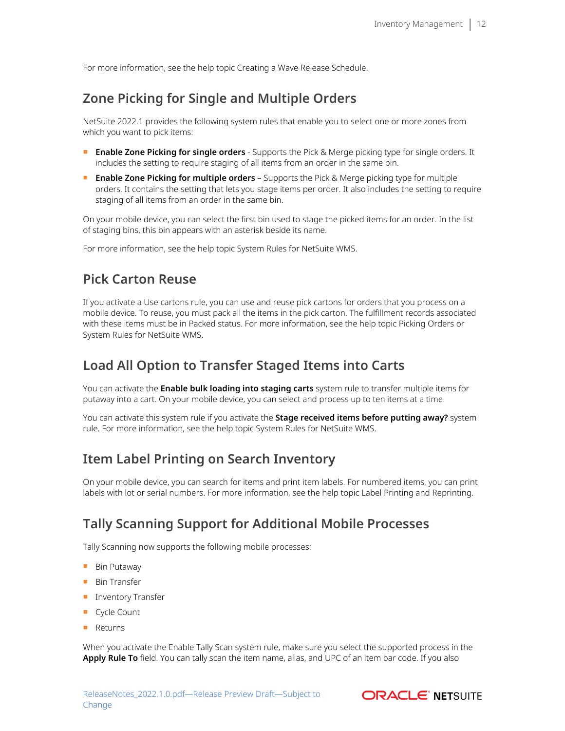<span id="page-11-0"></span>For more information, see the help topic Creating a Wave Release Schedule.

## **Zone Picking for Single and Multiple Orders**

NetSuite 2022.1 provides the following system rules that enable you to select one or more zones from which you want to pick items:

- **Enable Zone Picking for single orders** Supports the Pick & Merge picking type for single orders. It includes the setting to require staging of all items from an order in the same bin.
- **Enable Zone Picking for multiple orders** Supports the Pick & Merge picking type for multiple orders. It contains the setting that lets you stage items per order. It also includes the setting to require staging of all items from an order in the same bin.

On your mobile device, you can select the first bin used to stage the picked items for an order. In the list of staging bins, this bin appears with an asterisk beside its name.

<span id="page-11-1"></span>For more information, see the help topic System Rules for NetSuite WMS.

### **Pick Carton Reuse**

If you activate a Use cartons rule, you can use and reuse pick cartons for orders that you process on a mobile device. To reuse, you must pack all the items in the pick carton. The fulfillment records associated with these items must be in Packed status. For more information, see the help topic Picking Orders or System Rules for NetSuite WMS.

### <span id="page-11-2"></span>**Load All Option to Transfer Staged Items into Carts**

You can activate the **Enable bulk loading into staging carts** system rule to transfer multiple items for putaway into a cart. On your mobile device, you can select and process up to ten items at a time.

You can activate this system rule if you activate the **Stage received items before putting away?** system rule. For more information, see the help topic System Rules for NetSuite WMS.

### <span id="page-11-3"></span>**Item Label Printing on Search Inventory**

On your mobile device, you can search for items and print item labels. For numbered items, you can print labels with lot or serial numbers. For more information, see the help topic Label Printing and Reprinting.

### <span id="page-11-4"></span>**Tally Scanning Support for Additional Mobile Processes**

Tally Scanning now supports the following mobile processes:

- Bin Putaway
- Bin Transfer
- Inventory Transfer
- Cycle Count
- Returns

When you activate the Enable Tally Scan system rule, make sure you select the supported process in the **Apply Rule To** field. You can tally scan the item name, alias, and UPC of an item bar code. If you also

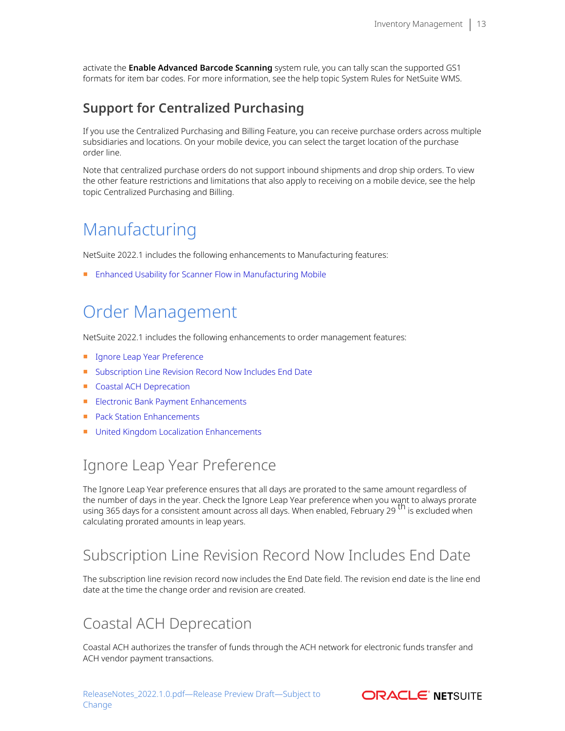activate the **Enable Advanced Barcode Scanning** system rule, you can tally scan the supported GS1 formats for item bar codes. For more information, see the help topic System Rules for NetSuite WMS.

## <span id="page-12-5"></span>**Support for Centralized Purchasing**

If you use the Centralized Purchasing and Billing Feature, you can receive purchase orders across multiple subsidiaries and locations. On your mobile device, you can select the target location of the purchase order line.

Note that centralized purchase orders do not support inbound shipments and drop ship orders. To view the other feature restrictions and limitations that also apply to receiving on a mobile device, see the help topic Centralized Purchasing and Billing.

# <span id="page-12-0"></span>Manufacturing

NetSuite 2022.1 includes the following enhancements to Manufacturing features:

<span id="page-12-1"></span>■ [Enhanced Usability for Scanner Flow in Manufacturing Mobile](#page-23-1)

# Order Management

NetSuite 2022.1 includes the following enhancements to order management features:

- [Ignore Leap Year Preference](#page-12-2)
- [Subscription Line Revision Record Now Includes End Date](#page-12-3)
- [Coastal ACH Deprecation](#page-12-4)
- [Electronic Bank Payment Enhancements](#page-23-2)
- [Pack Station Enhancements](#page-25-0)
- <span id="page-12-2"></span>■ [United Kingdom Localization Enhancements](#page-22-1)

# Ignore Leap Year Preference

The Ignore Leap Year preference ensures that all days are prorated to the same amount regardless of the number of days in the year. Check the Ignore Leap Year preference when you want to always prorate using 365 days for a consistent amount across all days. When enabled, February 29<sup>th</sup> is excluded when calculating prorated amounts in leap years.

## <span id="page-12-3"></span>Subscription Line Revision Record Now Includes End Date

The subscription line revision record now includes the End Date field. The revision end date is the line end date at the time the change order and revision are created.

## <span id="page-12-4"></span>Coastal ACH Deprecation

Coastal ACH authorizes the transfer of funds through the ACH network for electronic funds transfer and ACH vendor payment transactions.

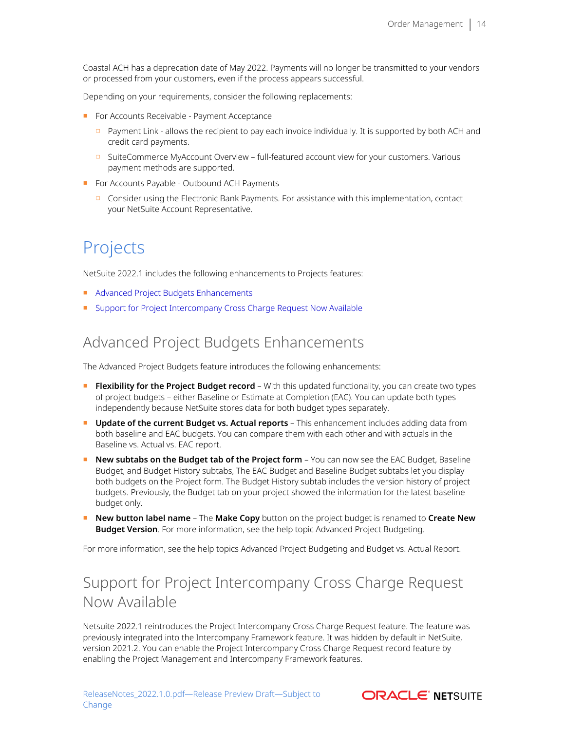Coastal ACH has a deprecation date of May 2022. Payments will no longer be transmitted to your vendors or processed from your customers, even if the process appears successful.

Depending on your requirements, consider the following replacements:

- For Accounts Receivable Payment Acceptance
	- □ Payment Link allows the recipient to pay each invoice individually. It is supported by both ACH and credit card payments.
	- □ SuiteCommerce MyAccount Overview full-featured account view for your customers. Various payment methods are supported.
- For Accounts Payable Outbound ACH Payments
	- □ Consider using the Electronic Bank Payments. For assistance with this implementation, contact your NetSuite Account Representative.

# <span id="page-13-0"></span>Projects

NetSuite 2022.1 includes the following enhancements to Projects features:

- [Advanced Project Budgets Enhancements](#page-13-1)
- <span id="page-13-1"></span>■ [Support for Project Intercompany Cross Charge Request Now Available](#page-13-2)

## Advanced Project Budgets Enhancements

The Advanced Project Budgets feature introduces the following enhancements:

- **Flexibility for the Project Budget record** With this updated functionality, you can create two types of project budgets – either Baseline or Estimate at Completion (EAC). You can update both types independently because NetSuite stores data for both budget types separately.
- **Update of the current Budget vs. Actual reports** This enhancement includes adding data from both baseline and EAC budgets. You can compare them with each other and with actuals in the Baseline vs. Actual vs. EAC report.
- **New subtabs on the Budget tab of the Project form** You can now see the EAC Budget, Baseline Budget, and Budget History subtabs, The EAC Budget and Baseline Budget subtabs let you display both budgets on the Project form. The Budget History subtab includes the version history of project budgets. Previously, the Budget tab on your project showed the information for the latest baseline budget only.
- **New button label name** The **Make Copy** button on the project budget is renamed to **Create New Budget Version**. For more information, see the help topic Advanced Project Budgeting.

<span id="page-13-2"></span>For more information, see the help topics Advanced Project Budgeting and Budget vs. Actual Report.

# Support for Project Intercompany Cross Charge Request Now Available

Netsuite 2022.1 reintroduces the Project Intercompany Cross Charge Request feature. The feature was previously integrated into the Intercompany Framework feature. It was hidden by default in NetSuite, version 2021.2. You can enable the Project Intercompany Cross Charge Request record feature by enabling the Project Management and Intercompany Framework features.

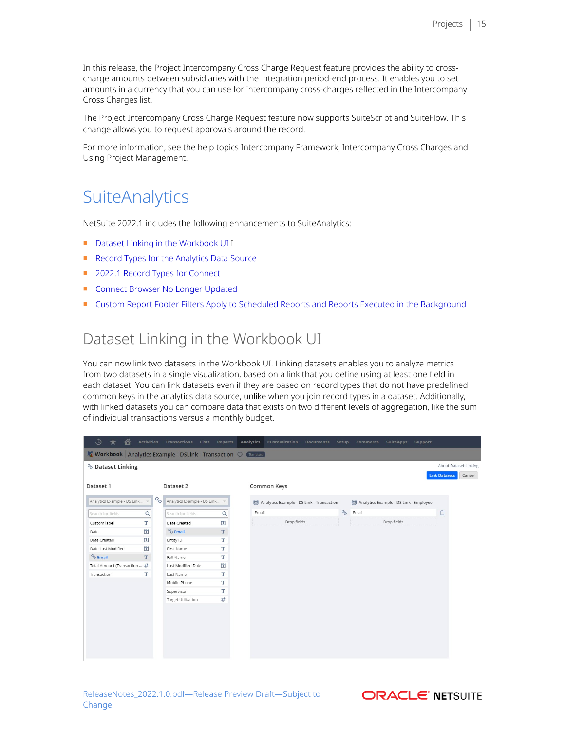In this release, the Project Intercompany Cross Charge Request feature provides the ability to crosscharge amounts between subsidiaries with the integration period-end process. It enables you to set amounts in a currency that you can use for intercompany cross-charges reflected in the Intercompany Cross Charges list.

The Project Intercompany Cross Charge Request feature now supports SuiteScript and SuiteFlow. This change allows you to request approvals around the record.

<span id="page-14-0"></span>For more information, see the help topics Intercompany Framework, Intercompany Cross Charges and Using Project Management.

# **SuiteAnalytics**

NetSuite 2022.1 includes the following enhancements to SuiteAnalytics:

- [Dataset Linking in the Workbook UI](#page-14-1) I
- [Record Types for the Analytics Data Source](#page-15-0)
- [2022.1 Record Types for Connect](#page-15-1)
- [Connect Browser No Longer Updated](#page-15-2)
- <span id="page-14-1"></span>■ [Custom Report Footer Filters Apply to Scheduled Reports and Reports Executed in the Background](#page-16-1)

## Dataset Linking in the Workbook UI

You can now link two datasets in the Workbook UI. Linking datasets enables you to analyze metrics from two datasets in a single visualization, based on a link that you define using at least one field in each dataset. You can link datasets even if they are based on record types that do not have predefined common keys in the analytics data source, unlike when you join record types in a dataset. Additionally, with linked datasets you can compare data that exists on two different levels of aggregation, like the sum of individual transactions versus a monthly budget.

| $\Theta$                 | ⚠<br>$\star$                                                                   | <b>Activities</b> |    | Transactions                  | Lists | Reports                          | Analytics | Customization                             | <b>Documents</b> | Setup                       | Commerce                               | <b>SuiteApps</b> | Support |                      |                       |
|--------------------------|--------------------------------------------------------------------------------|-------------------|----|-------------------------------|-------|----------------------------------|-----------|-------------------------------------------|------------------|-----------------------------|----------------------------------------|------------------|---------|----------------------|-----------------------|
|                          | <b>T Workbook</b> Analytics Example - DSLink - Transaction <b>(i)</b> Template |                   |    |                               |       |                                  |           |                                           |                  |                             |                                        |                  |         |                      |                       |
| <b>S</b> Dataset Linking |                                                                                |                   |    |                               |       |                                  |           |                                           |                  |                             |                                        |                  |         |                      | About Dataset Linking |
|                          |                                                                                |                   |    |                               |       |                                  |           |                                           |                  |                             |                                        |                  |         | <b>Link Datasets</b> | Cancel                |
| Dataset 1                |                                                                                |                   |    | Dataset 2                     |       |                                  |           | Common Keys                               |                  |                             |                                        |                  |         |                      |                       |
|                          | Analytics Example - DS Link                                                    | W                 | Q, | Analytics Example - DS Link = |       |                                  |           | Analytics Example - DS Link - Transaction |                  |                             | Analytics Example - DS Link - Employee |                  |         |                      |                       |
| Search for fields        |                                                                                | Q                 |    | Search for fields             |       | $\alpha$                         | Email     |                                           |                  | $\mathcal{C}_{\mathcal{O}}$ | Email                                  |                  |         | Ô                    |                       |
| Custom label             |                                                                                | T                 |    | Date Created                  |       | $\boxed{\underline{\mathbf{1}}}$ |           | Drop fields                               |                  |                             |                                        | Drop fields      |         |                      |                       |
| Date                     |                                                                                | $\overline{1}$    |    | <sup>%</sup> Email            |       | T                                |           |                                           |                  |                             |                                        |                  |         |                      |                       |
| Date Created             |                                                                                | $\overline{1}$    |    | Entity ID                     |       | T                                |           |                                           |                  |                             |                                        |                  |         |                      |                       |
| Date Last Modified       |                                                                                | $\overline{1}$    |    | First Name                    |       | T                                |           |                                           |                  |                             |                                        |                  |         |                      |                       |
| $%$ Email                |                                                                                | T                 |    | Full Name                     |       | T                                |           |                                           |                  |                             |                                        |                  |         |                      |                       |
|                          | Total Amount (Transaction  #                                                   |                   |    | Last Modified Date            |       | $\overline{1}$                   |           |                                           |                  |                             |                                        |                  |         |                      |                       |
| Transaction              |                                                                                | т                 |    | Last Name                     |       | т                                |           |                                           |                  |                             |                                        |                  |         |                      |                       |
|                          |                                                                                |                   |    | Mobile Phone                  |       | T                                |           |                                           |                  |                             |                                        |                  |         |                      |                       |
|                          |                                                                                |                   |    | Supervisor                    |       | T                                |           |                                           |                  |                             |                                        |                  |         |                      |                       |
|                          |                                                                                |                   |    | <b>Target Utilization</b>     |       | #                                |           |                                           |                  |                             |                                        |                  |         |                      |                       |
|                          |                                                                                |                   |    |                               |       |                                  |           |                                           |                  |                             |                                        |                  |         |                      |                       |
|                          |                                                                                |                   |    |                               |       |                                  |           |                                           |                  |                             |                                        |                  |         |                      |                       |
|                          |                                                                                |                   |    |                               |       |                                  |           |                                           |                  |                             |                                        |                  |         |                      |                       |
|                          |                                                                                |                   |    |                               |       |                                  |           |                                           |                  |                             |                                        |                  |         |                      |                       |
|                          |                                                                                |                   |    |                               |       |                                  |           |                                           |                  |                             |                                        |                  |         |                      |                       |
|                          |                                                                                |                   |    |                               |       |                                  |           |                                           |                  |                             |                                        |                  |         |                      |                       |
|                          |                                                                                |                   |    |                               |       |                                  |           |                                           |                  |                             |                                        |                  |         |                      |                       |

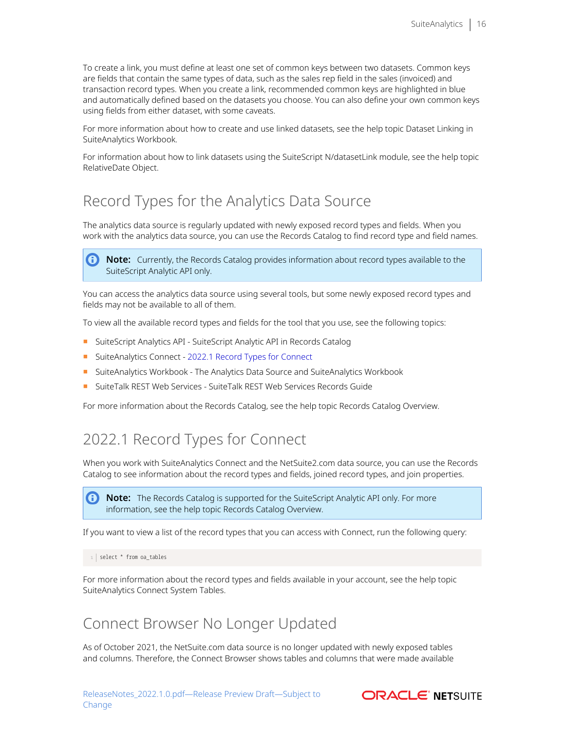To create a link, you must define at least one set of common keys between two datasets. Common keys are fields that contain the same types of data, such as the sales rep field in the sales (invoiced) and transaction record types. When you create a link, recommended common keys are highlighted in blue and automatically defined based on the datasets you choose. You can also define your own common keys using fields from either dataset, with some caveats.

For more information about how to create and use linked datasets, see the help topic Dataset Linking in SuiteAnalytics Workbook.

For information about how to link datasets using the SuiteScript N/datasetLink module, see the help topic RelativeDate Object.

## <span id="page-15-0"></span>Record Types for the Analytics Data Source

The analytics data source is regularly updated with newly exposed record types and fields. When you work with the analytics data source, you can use the Records Catalog to find record type and field names.

A **Note:** Currently, the Records Catalog provides information about record types available to the SuiteScript Analytic API only.

You can access the analytics data source using several tools, but some newly exposed record types and fields may not be available to all of them.

To view all the available record types and fields for the tool that you use, see the following topics:

- SuiteScript Analytics API SuiteScript Analytic API in Records Catalog
- SuiteAnalytics Connect - [2022.1 Record Types for Connect](#page-15-1)
- SuiteAnalytics Workbook The Analytics Data Source and SuiteAnalytics Workbook
- SuiteTalk REST Web Services SuiteTalk REST Web Services Records Guide

<span id="page-15-1"></span>For more information about the Records Catalog, see the help topic Records Catalog Overview.

## 2022.1 Record Types for Connect

When you work with SuiteAnalytics Connect and the NetSuite2.com data source, you can use the Records Catalog to see information about the record types and fields, joined record types, and join properties.

**1** Note: The Records Catalog is supported for the SuiteScript Analytic API only. For more information, see the help topic Records Catalog Overview.

If you want to view a list of the record types that you can access with Connect, run the following query:

1 | select \* from oa\_tables

<span id="page-15-2"></span>For more information about the record types and fields available in your account, see the help topic SuiteAnalytics Connect System Tables.

### Connect Browser No Longer Updated

As of October 2021, the NetSuite.com data source is no longer updated with newly exposed tables and columns. Therefore, the Connect Browser shows tables and columns that were made available

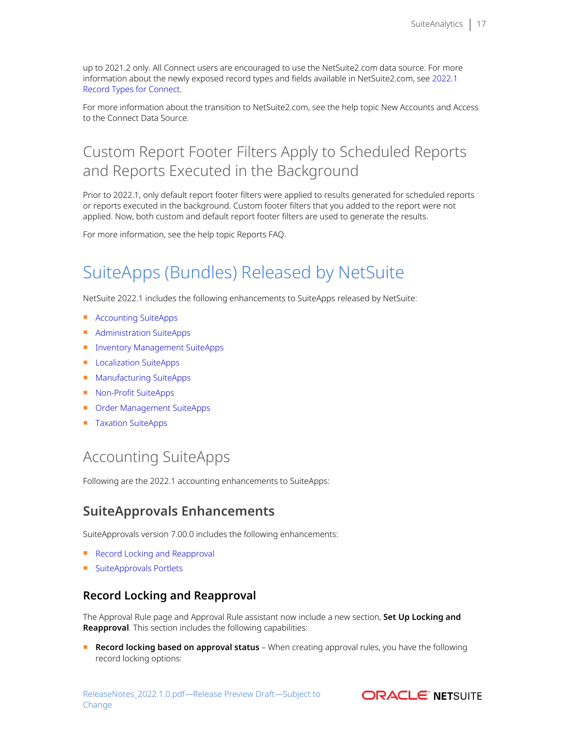up to 2021.2 only. All Connect users are encouraged to use the NetSuite2.com data source. For more information about the newly exposed record types and fields available in NetSuite2.com, see [2022.1](#page-15-1) [Record Types for Connect](#page-15-1).

For more information about the transition to NetSuite2.com, see the help topic New Accounts and Access to the Connect Data Source.

# <span id="page-16-1"></span>Custom Report Footer Filters Apply to Scheduled Reports and Reports Executed in the Background

Prior to 2022.1, only default report footer filters were applied to results generated for scheduled reports or reports executed in the background. Custom footer filters that you added to the report were not applied. Now, both custom and default report footer filters are used to generate the results.

<span id="page-16-2"></span>For more information, see the help topic Reports FAQ.

# SuiteApps (Bundles) Released by NetSuite

NetSuite 2022.1 includes the following enhancements to SuiteApps released by NetSuite:

- [Accounting SuiteApps](#page-16-3)
- [Administration SuiteApps](#page-17-1)
- [Inventory Management SuiteApps](#page-18-2)
- [Localization SuiteApps](#page-20-1)
- [Manufacturing SuiteApps](#page-22-2)
- [Non-Profit SuiteApps](#page-23-3)
- [Order Management SuiteApps](#page-23-4)
- <span id="page-16-3"></span>■ [Taxation SuiteApps](#page-25-1)

# Accounting SuiteApps

<span id="page-16-0"></span>Following are the 2022.1 accounting enhancements to SuiteApps:

## **SuiteApprovals Enhancements**

SuiteApprovals version 7.00.0 includes the following enhancements:

- [Record Locking and Reapproval](#page-16-4)
- <span id="page-16-4"></span>■ [SuiteApprovals Portlets](#page-17-2)

### **Record Locking and Reapproval**

The Approval Rule page and Approval Rule assistant now include a new section, **Set Up Locking and Reapproval**. This section includes the following capabilities:

■ **Record locking based on approval status** – When creating approval rules, you have the following record locking options:

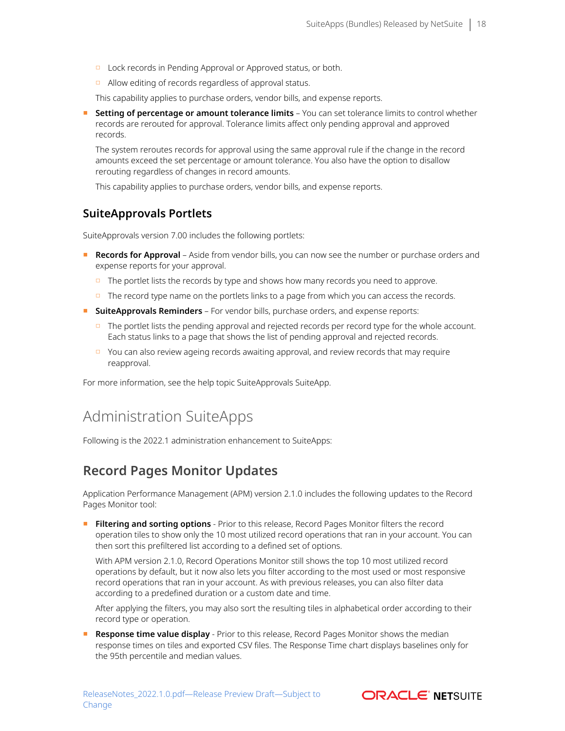- □ Lock records in Pending Approval or Approved status, or both.
- □ Allow editing of records regardless of approval status.

This capability applies to purchase orders, vendor bills, and expense reports.

**Setting of percentage or amount tolerance limits** – You can set tolerance limits to control whether records are rerouted for approval. Tolerance limits affect only pending approval and approved records.

The system reroutes records for approval using the same approval rule if the change in the record amounts exceed the set percentage or amount tolerance. You also have the option to disallow rerouting regardless of changes in record amounts.

<span id="page-17-2"></span>This capability applies to purchase orders, vendor bills, and expense reports.

### **SuiteApprovals Portlets**

SuiteApprovals version 7.00 includes the following portlets:

- **Records for Approval** Aside from vendor bills, you can now see the number or purchase orders and expense reports for your approval.
	- $\Box$  The portlet lists the records by type and shows how many records you need to approve.
	- $\Box$  The record type name on the portlets links to a page from which you can access the records.
- **SuiteApprovals Reminders** For vendor bills, purchase orders, and expense reports:
	- $\Box$  The portlet lists the pending approval and rejected records per record type for the whole account. Each status links to a page that shows the list of pending approval and rejected records.
	- □ You can also review ageing records awaiting approval, and review records that may require reapproval.

<span id="page-17-1"></span>For more information, see the help topic SuiteApprovals SuiteApp.

## Administration SuiteApps

<span id="page-17-0"></span>Following is the 2022.1 administration enhancement to SuiteApps:

### **Record Pages Monitor Updates**

Application Performance Management (APM) version 2.1.0 includes the following updates to the Record Pages Monitor tool:

■ **Filtering and sorting options** - Prior to this release, Record Pages Monitor filters the record operation tiles to show only the 10 most utilized record operations that ran in your account. You can then sort this prefiltered list according to a defined set of options.

With APM version 2.1.0, Record Operations Monitor still shows the top 10 most utilized record operations by default, but it now also lets you filter according to the most used or most responsive record operations that ran in your account. As with previous releases, you can also filter data according to a predefined duration or a custom date and time.

After applying the filters, you may also sort the resulting tiles in alphabetical order according to their record type or operation.

**Response time value display** - Prior to this release, Record Pages Monitor shows the median response times on tiles and exported CSV files. The Response Time chart displays baselines only for the 95th percentile and median values.

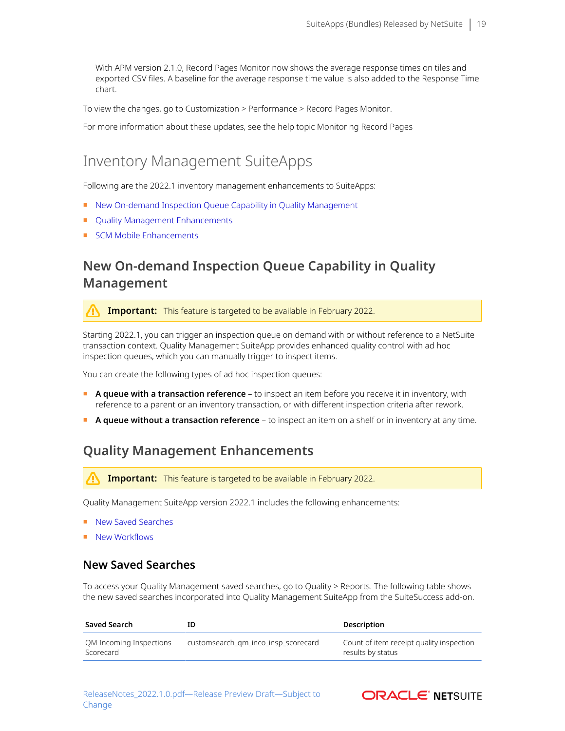With APM version 2.1.0, Record Pages Monitor now shows the average response times on tiles and exported CSV files. A baseline for the average response time value is also added to the Response Time chart.

To view the changes, go to Customization > Performance > Record Pages Monitor.

<span id="page-18-2"></span>For more information about these updates, see the help topic Monitoring Record Pages

## Inventory Management SuiteApps

Following are the 2022.1 inventory management enhancements to SuiteApps:

- [New On-demand Inspection Queue Capability in Quality Management](#page-18-0)
- [Quality Management Enhancements](#page-18-1)
- <span id="page-18-0"></span>■ [SCM Mobile Enhancements](#page-20-0)

### **New On-demand Inspection Queue Capability in Quality Management**

**Important:** This feature is targeted to be available in February 2022.

Starting 2022.1, you can trigger an inspection queue on demand with or without reference to a NetSuite transaction context. Quality Management SuiteApp provides enhanced quality control with ad hoc inspection queues, which you can manually trigger to inspect items.

You can create the following types of ad hoc inspection queues:

- **A queue with a transaction reference** to inspect an item before you receive it in inventory, with reference to a parent or an inventory transaction, or with different inspection criteria after rework.
- <span id="page-18-1"></span>■ **A queue without a transaction reference** – to inspect an item on a shelf or in inventory at any time.

### **Quality Management Enhancements**

**Important:** This feature is targeted to be available in February 2022.

Quality Management SuiteApp version 2022.1 includes the following enhancements:

- [New Saved Searches](#page-18-3)
- <span id="page-18-3"></span>■ [New Workflows](#page-19-0)

### **New Saved Searches**

To access your Quality Management saved searches, go to Quality > Reports. The following table shows the new saved searches incorporated into Quality Management SuiteApp from the SuiteSuccess add-on.

| Saved Search                         | ID                                  | Description                                                   |
|--------------------------------------|-------------------------------------|---------------------------------------------------------------|
| OM Incoming Inspections<br>Scorecard | customsearch qm inco insp scorecard | Count of item receipt quality inspection<br>results by status |

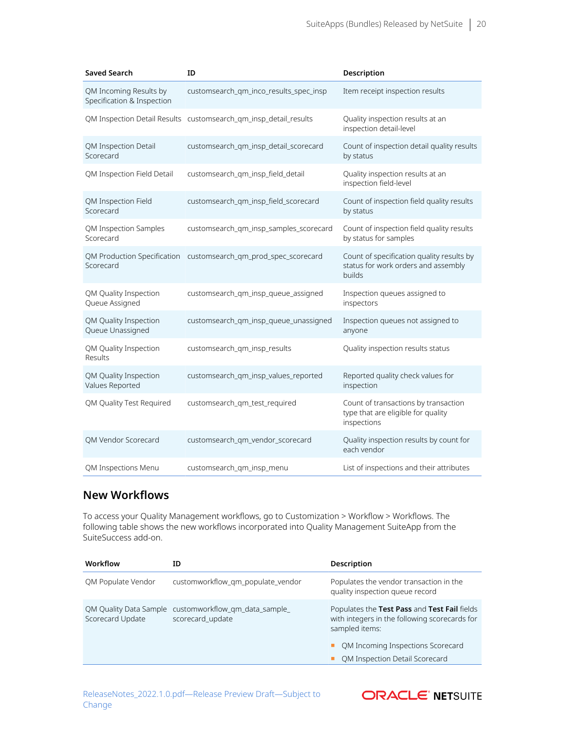| <b>Saved Search</b>                                  | ID                                                               | Description                                                                                |
|------------------------------------------------------|------------------------------------------------------------------|--------------------------------------------------------------------------------------------|
| QM Incoming Results by<br>Specification & Inspection | customsearch_qm_inco_results_spec_insp                           | Item receipt inspection results                                                            |
|                                                      | QM Inspection Detail Results customsearch_qm_insp_detail_results | Quality inspection results at an<br>inspection detail-level                                |
| <b>QM Inspection Detail</b><br>Scorecard             | customsearch_qm_insp_detail_scorecard                            | Count of inspection detail quality results<br>by status                                    |
| QM Inspection Field Detail                           | customsearch_qm_insp_field_detail                                | Quality inspection results at an<br>inspection field-level                                 |
| QM Inspection Field<br>Scorecard                     | customsearch_qm_insp_field_scorecard                             | Count of inspection field quality results<br>by status                                     |
| QM Inspection Samples<br>Scorecard                   | customsearch qm insp samples scorecard                           | Count of inspection field quality results<br>by status for samples                         |
| Scorecard                                            | QM Production Specification customsearch_qm_prod_spec_scorecard  | Count of specification quality results by<br>status for work orders and assembly<br>builds |
| QM Quality Inspection<br>Queue Assigned              | customsearch qm insp queue assigned                              | Inspection queues assigned to<br>inspectors                                                |
| QM Quality Inspection<br>Queue Unassigned            | customsearch_qm_insp_queue_unassigned                            | Inspection queues not assigned to<br>anyone                                                |
| QM Quality Inspection<br>Results                     | customsearch_qm_insp_results                                     | Quality inspection results status                                                          |
| QM Quality Inspection<br>Values Reported             | customsearch_qm_insp_values_reported                             | Reported quality check values for<br>inspection                                            |
| QM Quality Test Required                             | customsearch_qm_test_required                                    | Count of transactions by transaction<br>type that are eligible for quality<br>inspections  |
| QM Vendor Scorecard                                  | customsearch_qm_vendor_scorecard                                 | Quality inspection results by count for<br>each vendor                                     |
| QM Inspections Menu                                  | customsearch_qm_insp_menu                                        | List of inspections and their attributes                                                   |

### <span id="page-19-0"></span>**New Workflows**

To access your Quality Management workflows, go to Customization > Workflow > Workflows. The following table shows the new workflows incorporated into Quality Management SuiteApp from the SuiteSuccess add-on.

| Workflow                                   | ΙD                                                | Description                                                                                                                                                                            |
|--------------------------------------------|---------------------------------------------------|----------------------------------------------------------------------------------------------------------------------------------------------------------------------------------------|
| OM Populate Vendor                         | customworkflow qm populate vendor                 | Populates the vendor transaction in the<br>quality inspection queue record                                                                                                             |
| QM Quality Data Sample<br>Scorecard Update | customworkflow gm data sample<br>scorecard_update | Populates the Test Pass and Test Fail fields<br>with integers in the following scorecards for<br>sampled items:<br>QM Incoming Inspections Scorecard<br>QM Inspection Detail Scorecard |

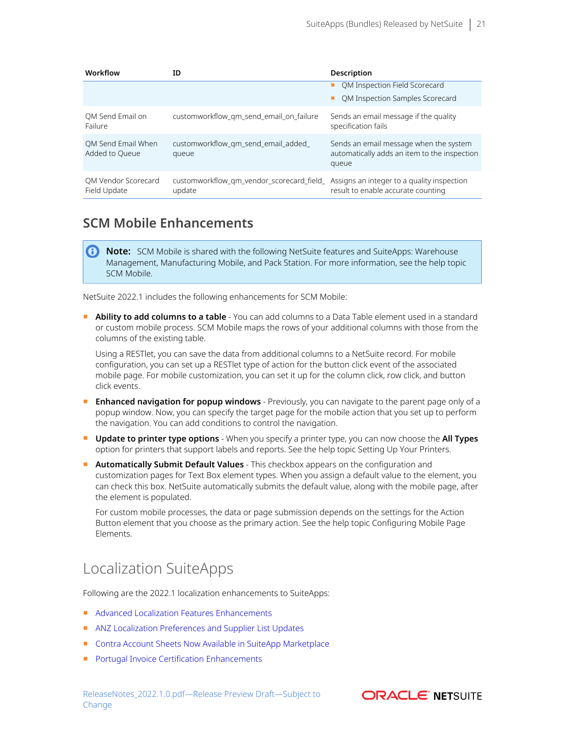| Workflow                             | ΙD                                                 | Description                                                                                     |
|--------------------------------------|----------------------------------------------------|-------------------------------------------------------------------------------------------------|
|                                      |                                                    | QM Inspection Field Scorecard                                                                   |
|                                      |                                                    | QM Inspection Samples Scorecard                                                                 |
| QM Send Email on<br>Failure          | customworkflow_qm_send_email_on_failure            | Sends an email message if the quality<br>specification fails                                    |
| OM Send Email When<br>Added to Queue | customworkflow gm send email added<br>queue        | Sends an email message when the system<br>automatically adds an item to the inspection<br>queue |
| OM Vendor Scorecard<br>Field Update  | customworkflow gm vendor scorecard field<br>update | Assigns an integer to a quality inspection<br>result to enable accurate counting                |

### <span id="page-20-0"></span>**SCM Mobile Enhancements**

**Note:** SCM Mobile is shared with the following NetSuite features and SuiteApps: Warehouse Management, Manufacturing Mobile, and Pack Station. For more information, see the help topic SCM Mobile.

NetSuite 2022.1 includes the following enhancements for SCM Mobile:

■ **Ability to add columns to a table** - You can add columns to a Data Table element used in a standard or custom mobile process. SCM Mobile maps the rows of your additional columns with those from the columns of the existing table.

Using a RESTlet, you can save the data from additional columns to a NetSuite record. For mobile configuration, you can set up a RESTlet type of action for the button click event of the associated mobile page. For mobile customization, you can set it up for the column click, row click, and button click events.

- **Enhanced navigation for popup windows** Previously, you can navigate to the parent page only of a popup window. Now, you can specify the target page for the mobile action that you set up to perform the navigation. You can add conditions to control the navigation.
- **Update to printer type options** When you specify a printer type, you can now choose the **All Types** option for printers that support labels and reports. See the help topic Setting Up Your Printers.
- **Automatically Submit Default Values** This checkbox appears on the configuration and customization pages for Text Box element types. When you assign a default value to the element, you can check this box. NetSuite automatically submits the default value, along with the mobile page, after the element is populated.

For custom mobile processes, the data or page submission depends on the settings for the Action Button element that you choose as the primary action. See the help topic Configuring Mobile Page Elements.

# <span id="page-20-1"></span>Localization SuiteApps

Following are the 2022.1 localization enhancements to SuiteApps:

- [Advanced Localization Features Enhancements](#page-21-0)
- [ANZ Localization Preferences and Supplier List Updates](#page-21-2)
- [Contra Account Sheets Now Available in SuiteApp Marketplace](#page-21-1)
- [Portugal Invoice Certification Enhancements](#page-22-0)

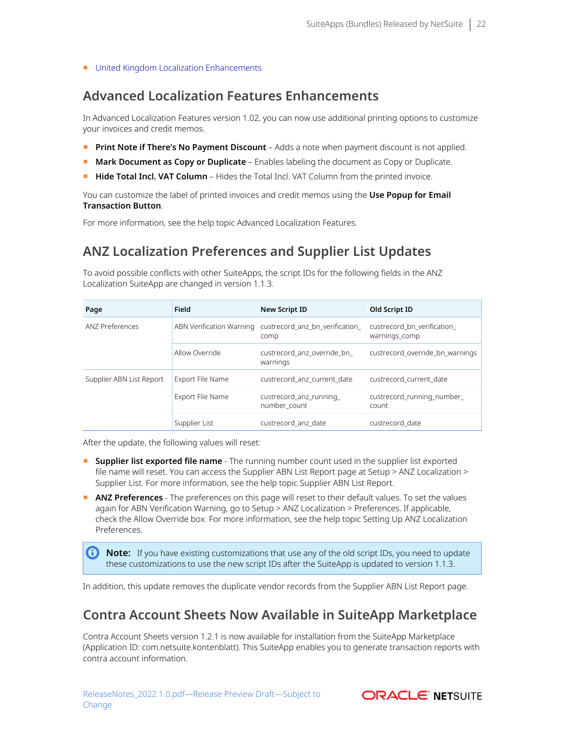<span id="page-21-0"></span>■ [United Kingdom Localization Enhancements](#page-22-1)

### **Advanced Localization Features Enhancements**

In Advanced Localization Features version 1.02, you can now use additional printing options to customize your invoices and credit memos.

- **Print Note if There's No Payment Discount** Adds a note when payment discount is not applied.
- **Mark Document as Copy or Duplicate** Enables labeling the document as Copy or Duplicate.
- **Hide Total Incl. VAT Column** Hides the Total Incl. VAT Column from the printed invoice.

You can customize the label of printed invoices and credit memos using the **Use Popup for Email Transaction Button**.

<span id="page-21-2"></span>For more information, see the help topic Advanced Localization Features.

### **ANZ Localization Preferences and Supplier List Updates**

To avoid possible conflicts with other SuiteApps, the script IDs for the following fields in the ANZ Localization SuiteApp are changed in version 1.1.3.

| Page                     | Field                    | <b>New Script ID</b>                    | Old Script ID                               |  |
|--------------------------|--------------------------|-----------------------------------------|---------------------------------------------|--|
| <b>ANZ Preferences</b>   | ABN Verification Warning | custrecord anz bn_verification<br>comp  | custrecord bn verification<br>warnings_comp |  |
|                          | Allow Override           | custrecord anz override bn<br>warnings  | custrecord override bn warnings             |  |
| Supplier ABN List Report | Export File Name         | custrecord anz current date             | custrecord current date                     |  |
|                          | Export File Name         | custrecord_anz_running_<br>number count | custrecord running number<br>count          |  |
|                          | Supplier List            | custrecord anz date                     | custrecord date                             |  |

After the update, the following values will reset:

- **EXT Supplier list exported file name** The running number count used in the supplier list exported file name will reset. You can access the Supplier ABN List Report page at Setup > ANZ Localization > Supplier List. For more information, see the help topic Supplier ABN List Report.
- **ANZ Preferences** The preferences on this page will reset to their default values. To set the values again for ABN Verification Warning, go to Setup > ANZ Localization > Preferences. If applicable, check the Allow Override box. For more information, see the help topic Setting Up ANZ Localization Preferences.

**C** Note: If you have existing customizations that use any of the old script IDs, you need to update these customizations to use the new script IDs after the SuiteApp is updated to version 1.1.3.

<span id="page-21-1"></span>In addition, this update removes the duplicate vendor records from the Supplier ABN List Report page.

### **Contra Account Sheets Now Available in SuiteApp Marketplace**

Contra Account Sheets version 1.2.1 is now available for installation from the SuiteApp Marketplace (Application ID: com.netsuite.kontenblatt). This SuiteApp enables you to generate transaction reports with contra account information.

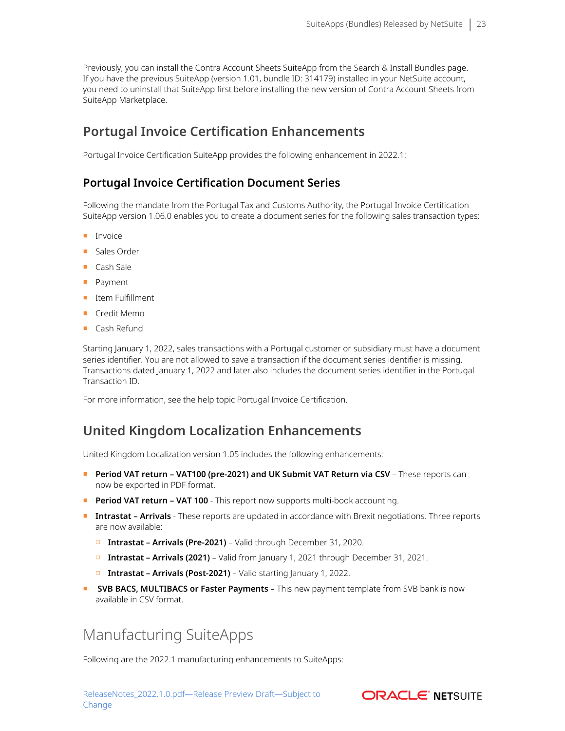Previously, you can install the Contra Account Sheets SuiteApp from the Search & Install Bundles page. If you have the previous SuiteApp (version 1.01, bundle ID: 314179) installed in your NetSuite account, you need to uninstall that SuiteApp first before installing the new version of Contra Account Sheets from SuiteApp Marketplace.

### <span id="page-22-0"></span>**Portugal Invoice Certification Enhancements**

Portugal Invoice Certification SuiteApp provides the following enhancement in 2022.1:

### **Portugal Invoice Certification Document Series**

Following the mandate from the Portugal Tax and Customs Authority, the Portugal Invoice Certification SuiteApp version 1.06.0 enables you to create a document series for the following sales transaction types:

- Invoice
- Sales Order
- Cash Sale
- Payment
- Item Fulfillment
- Credit Memo
- Cash Refund

Starting January 1, 2022, sales transactions with a Portugal customer or subsidiary must have a document series identifier. You are not allowed to save a transaction if the document series identifier is missing. Transactions dated January 1, 2022 and later also includes the document series identifier in the Portugal Transaction ID.

<span id="page-22-1"></span>For more information, see the help topic Portugal Invoice Certification.

### **United Kingdom Localization Enhancements**

United Kingdom Localization version 1.05 includes the following enhancements:

- **Period VAT return VAT100 (pre-2021) and UK Submit VAT Return via CSV** These reports can now be exported in PDF format.
- **Period VAT return VAT 100** This report now supports multi-book accounting.
- **Intrastat Arrivals** These reports are updated in accordance with Brexit negotiations. Three reports are now available:
	- □ **Intrastat Arrivals (Pre-2021)** Valid through December 31, 2020.
	- □ **Intrastat Arrivals (2021)** Valid from January 1, 2021 through December 31, 2021.
	- □ **Intrastat Arrivals (Post-2021)** Valid starting January 1, 2022.
- <span id="page-22-2"></span>**• SVB BACS, MULTIBACS or Faster Payments** – This new payment template from SVB bank is now available in CSV format.

## Manufacturing SuiteApps

Following are the 2022.1 manufacturing enhancements to SuiteApps:

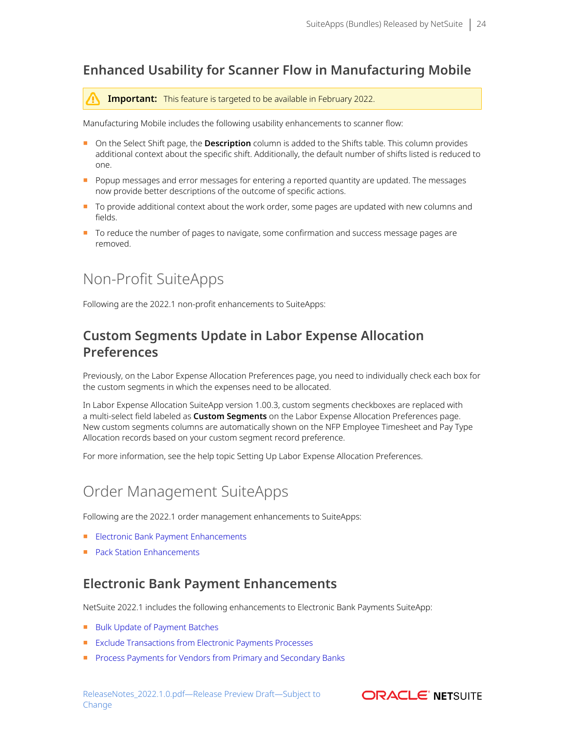### <span id="page-23-1"></span>**Enhanced Usability for Scanner Flow in Manufacturing Mobile**

**Important:** This feature is targeted to be available in February 2022.

Manufacturing Mobile includes the following usability enhancements to scanner flow:

- On the Select Shift page, the **Description** column is added to the Shifts table. This column provides additional context about the specific shift. Additionally, the default number of shifts listed is reduced to one.
- Popup messages and error messages for entering a reported quantity are updated. The messages now provide better descriptions of the outcome of specific actions.
- To provide additional context about the work order, some pages are updated with new columns and fields.
- <span id="page-23-3"></span>■ To reduce the number of pages to navigate, some confirmation and success message pages are removed.

## Non-Profit SuiteApps

<span id="page-23-0"></span>Following are the 2022.1 non-profit enhancements to SuiteApps:

## **Custom Segments Update in Labor Expense Allocation Preferences**

Previously, on the Labor Expense Allocation Preferences page, you need to individually check each box for the custom segments in which the expenses need to be allocated.

In Labor Expense Allocation SuiteApp version 1.00.3, custom segments checkboxes are replaced with a multi-select field labeled as **Custom Segments** on the Labor Expense Allocation Preferences page. New custom segments columns are automatically shown on the NFP Employee Timesheet and Pay Type Allocation records based on your custom segment record preference.

<span id="page-23-4"></span>For more information, see the help topic Setting Up Labor Expense Allocation Preferences.

# Order Management SuiteApps

Following are the 2022.1 order management enhancements to SuiteApps:

- [Electronic Bank Payment Enhancements](#page-23-2)
- <span id="page-23-2"></span>■ [Pack Station Enhancements](#page-25-0)

### **Electronic Bank Payment Enhancements**

NetSuite 2022.1 includes the following enhancements to Electronic Bank Payments SuiteApp:

- [Bulk Update of Payment Batches](#page-24-0)
- [Exclude Transactions from Electronic Payments Processes](#page-24-1)
- [Process Payments for Vendors from Primary and Secondary Banks](#page-24-2)

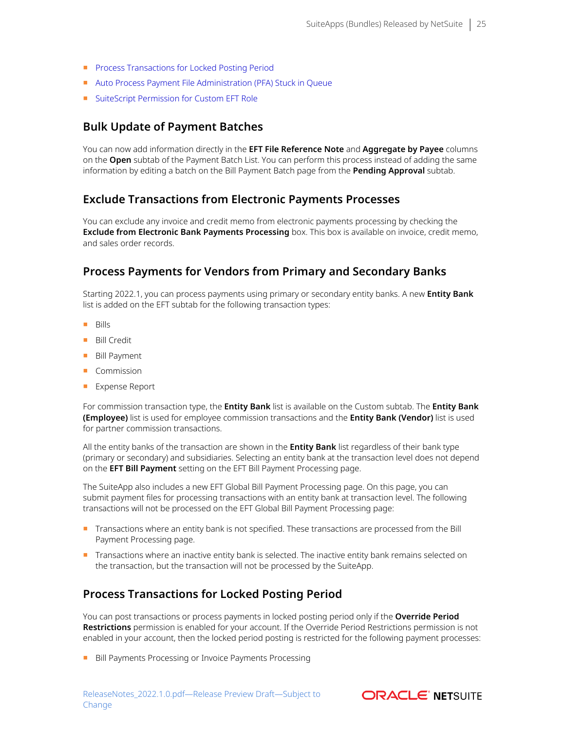- [Process Transactions for Locked Posting Period](#page-24-3)
- [Auto Process Payment File Administration \(PFA\) Stuck in Queue](#page-25-2)
- <span id="page-24-0"></span>■ [SuiteScript Permission for Custom EFT Role](#page-25-3)

### **Bulk Update of Payment Batches**

You can now add information directly in the **EFT File Reference Note** and **Aggregate by Payee** columns on the **Open** subtab of the Payment Batch List. You can perform this process instead of adding the same information by editing a batch on the Bill Payment Batch page from the **Pending Approval** subtab.

### <span id="page-24-1"></span>**Exclude Transactions from Electronic Payments Processes**

You can exclude any invoice and credit memo from electronic payments processing by checking the **Exclude from Electronic Bank Payments Processing** box. This box is available on invoice, credit memo, and sales order records.

### <span id="page-24-2"></span>**Process Payments for Vendors from Primary and Secondary Banks**

Starting 2022.1, you can process payments using primary or secondary entity banks. A new **Entity Bank** list is added on the EFT subtab for the following transaction types:

- Bills
- Bill Credit
- Bill Payment
- Commission
- Expense Report

For commission transaction type, the **Entity Bank** list is available on the Custom subtab. The **Entity Bank (Employee)** list is used for employee commission transactions and the **Entity Bank (Vendor)** list is used for partner commission transactions.

All the entity banks of the transaction are shown in the **Entity Bank** list regardless of their bank type (primary or secondary) and subsidiaries. Selecting an entity bank at the transaction level does not depend on the **EFT Bill Payment** setting on the EFT Bill Payment Processing page.

The SuiteApp also includes a new EFT Global Bill Payment Processing page. On this page, you can submit payment files for processing transactions with an entity bank at transaction level. The following transactions will not be processed on the EFT Global Bill Payment Processing page:

- Transactions where an entity bank is not specified. These transactions are processed from the Bill Payment Processing page.
- Transactions where an inactive entity bank is selected. The inactive entity bank remains selected on the transaction, but the transaction will not be processed by the SuiteApp.

### <span id="page-24-3"></span>**Process Transactions for Locked Posting Period**

You can post transactions or process payments in locked posting period only if the **Override Period Restrictions** permission is enabled for your account. If the Override Period Restrictions permission is not enabled in your account, then the locked period posting is restricted for the following payment processes:

■ Bill Payments Processing or Invoice Payments Processing

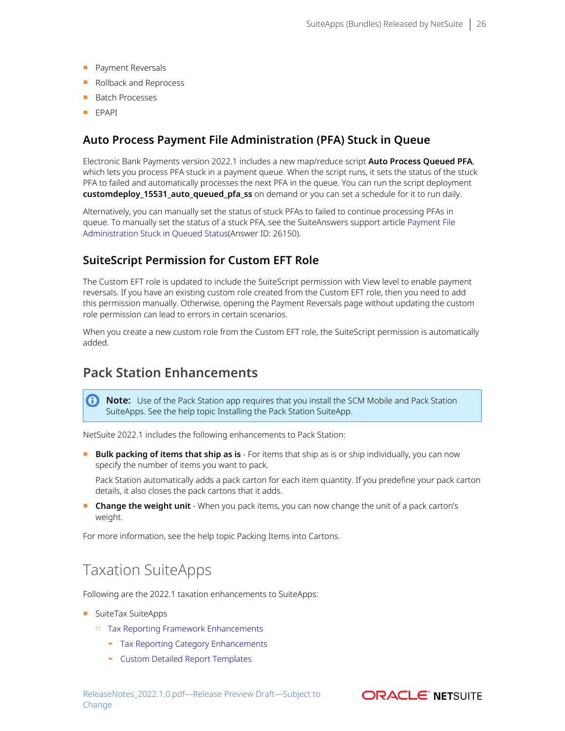- Payment Reversals
- Rollback and Reprocess
- Batch Processes
- <span id="page-25-2"></span>■ EPAPI

### **Auto Process Payment File Administration (PFA) Stuck in Queue**

Electronic Bank Payments version 2022.1 includes a new map/reduce script **Auto Process Queued PFA**, which lets you process PFA stuck in a payment queue. When the script runs, it sets the status of the stuck PFA to failed and automatically processes the next PFA in the queue. You can run the script deployment **customdeploy\_15531\_auto\_queued\_pfa\_ss** on demand or you can set a schedule for it to run daily.

Alternatively, you can manually set the status of stuck PFAs to failed to continue processing PFAs in queue. To manually set the status of a stuck PFA, see the SuiteAnswers support article [Payment File](https://netsuite.custhelp.com/app/answers/detail/a_id/26150/kw/26150) [Administration Stuck in Queued Status](https://netsuite.custhelp.com/app/answers/detail/a_id/26150/kw/26150)(Answer ID: 26150).

### <span id="page-25-3"></span>**SuiteScript Permission for Custom EFT Role**

The Custom EFT role is updated to include the SuiteScript permission with View level to enable payment reversals. If you have an existing custom role created from the Custom EFT role, then you need to add this permission manually. Otherwise, opening the Payment Reversals page without updating the custom role permission can lead to errors in certain scenarios.

When you create a new custom role from the Custom EFT role, the SuiteScript permission is automatically added.

### <span id="page-25-0"></span>**Pack Station Enhancements**

O **Note:** Use of the Pack Station app requires that you install the SCM Mobile and Pack Station SuiteApps. See the help topic Installing the Pack Station SuiteApp.

NetSuite 2022.1 includes the following enhancements to Pack Station:

■ **Bulk packing of items that ship as is** - For items that ship as is or ship individually, you can now specify the number of items you want to pack.

Pack Station automatically adds a pack carton for each item quantity. If you predefine your pack carton details, it also closes the pack cartons that it adds.

■ **Change the weight unit** - When you pack items, you can now change the unit of a pack carton's weight.

<span id="page-25-1"></span>For more information, see the help topic Packing Items into Cartons.

## Taxation SuiteApps

Following are the 2022.1 taxation enhancements to SuiteApps:

- SuiteTax SuiteApps
	- □ [Tax Reporting Framework Enhancements](#page-26-0)
		- ▬ [Tax Reporting Category Enhancements](#page-26-1)
		- ▬ [Custom Detailed Report Templates](#page-26-2)

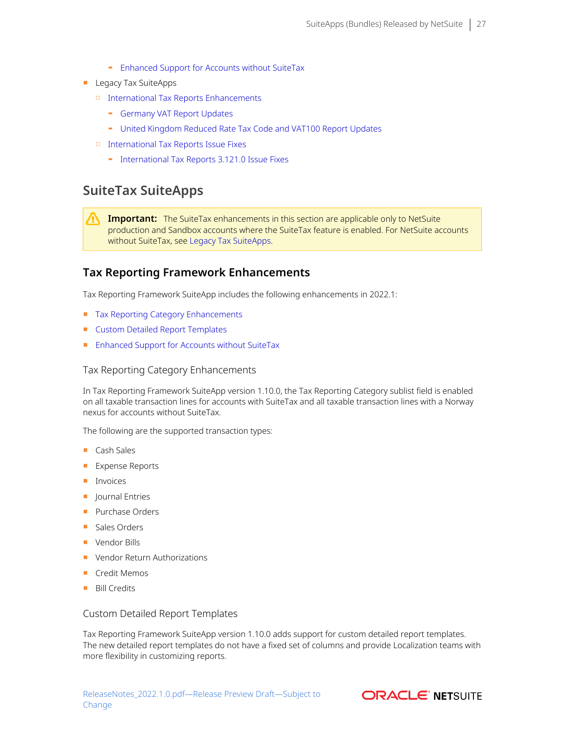- ▬ [Enhanced Support for Accounts without SuiteTax](#page-27-0)
- Legacy Tax SuiteApps
	- □ [International Tax Reports Enhancements](#page-27-1)
		- ▬ [Germany VAT Report Updates](#page-27-2)
		- [United Kingdom Reduced Rate Tax Code and VAT100 Report Updates](#page-28-0)
	- □ [International Tax Reports Issue Fixes](#page-28-1)
		- ▬ [International Tax Reports 3.121.0 Issue Fixes](#page-28-2)

### <span id="page-26-3"></span>**SuiteTax SuiteApps**

**Important:** The SuiteTax enhancements in this section are applicable only to NetSuite production and Sandbox accounts where the SuiteTax feature is enabled. For NetSuite accounts without SuiteTax, see [Legacy Tax SuiteApps.](#page-27-3)

### <span id="page-26-0"></span>**Tax Reporting Framework Enhancements**

Tax Reporting Framework SuiteApp includes the following enhancements in 2022.1:

- [Tax Reporting Category Enhancements](#page-26-1)
- [Custom Detailed Report Templates](#page-26-2)
- <span id="page-26-1"></span>■ [Enhanced Support for Accounts without SuiteTax](#page-27-0)

#### Tax Reporting Category Enhancements

In Tax Reporting Framework SuiteApp version 1.10.0, the Tax Reporting Category sublist field is enabled on all taxable transaction lines for accounts with SuiteTax and all taxable transaction lines with a Norway nexus for accounts without SuiteTax.

The following are the supported transaction types:

- Cash Sales
- Expense Reports
- Invoices
- Journal Entries
- Purchase Orders
- Sales Orders
- Vendor Bills
- Vendor Return Authorizations
- Credit Memos
- <span id="page-26-2"></span>■ Bill Credits

#### Custom Detailed Report Templates

Tax Reporting Framework SuiteApp version 1.10.0 adds support for custom detailed report templates. The new detailed report templates do not have a fixed set of columns and provide Localization teams with more flexibility in customizing reports.

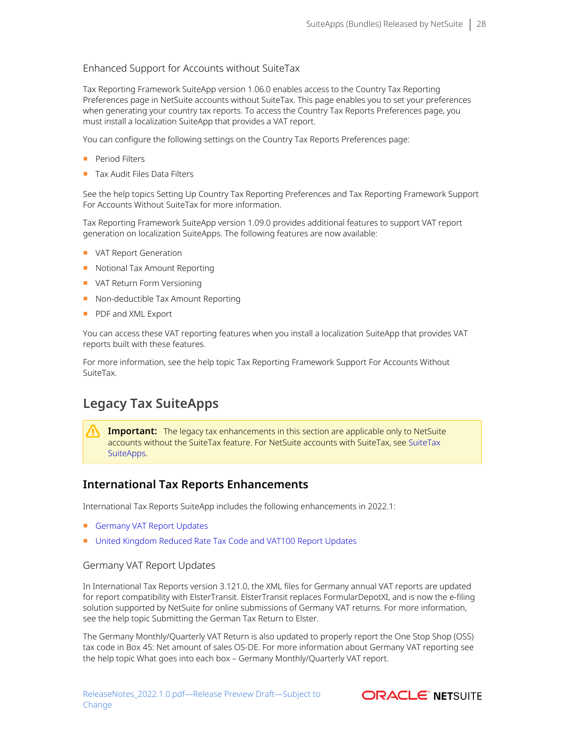#### <span id="page-27-0"></span>Enhanced Support for Accounts without SuiteTax

Tax Reporting Framework SuiteApp version 1.06.0 enables access to the Country Tax Reporting Preferences page in NetSuite accounts without SuiteTax. This page enables you to set your preferences when generating your country tax reports. To access the Country Tax Reports Preferences page, you must install a localization SuiteApp that provides a VAT report.

You can configure the following settings on the Country Tax Reports Preferences page:

- Period Filters
- Tax Audit Files Data Filters

See the help topics Setting Up Country Tax Reporting Preferences and Tax Reporting Framework Support For Accounts Without SuiteTax for more information.

Tax Reporting Framework SuiteApp version 1.09.0 provides additional features to support VAT report generation on localization SuiteApps. The following features are now available:

- VAT Report Generation
- Notional Tax Amount Reporting
- VAT Return Form Versioning
- Non-deductible Tax Amount Reporting
- PDF and XML Export

You can access these VAT reporting features when you install a localization SuiteApp that provides VAT reports built with these features.

For more information, see the help topic Tax Reporting Framework Support For Accounts Without SuiteTax.

### <span id="page-27-3"></span>**Legacy Tax SuiteApps**

**Important:** The legacy tax enhancements in this section are applicable only to NetSuite accounts without the SuiteTax feature. For NetSuite accounts with SuiteTax, see [SuiteTax](#page-26-3) [SuiteApps.](#page-26-3)

### <span id="page-27-1"></span>**International Tax Reports Enhancements**

International Tax Reports SuiteApp includes the following enhancements in 2022.1:

- [Germany VAT Report Updates](#page-27-2)
- <span id="page-27-2"></span>■ [United Kingdom Reduced Rate Tax Code and VAT100 Report Updates](#page-28-0)

#### Germany VAT Report Updates

In International Tax Reports version 3.121.0, the XML files for Germany annual VAT reports are updated for report compatibility with ElsterTransit. ElsterTransit replaces FormularDepotXI, and is now the e-filing solution supported by NetSuite for online submissions of Germany VAT returns. For more information, see the help topic Submitting the German Tax Return to Elster.

The Germany Monthly/Quarterly VAT Return is also updated to properly report the One Stop Shop (OSS) tax code in Box 45: Net amount of sales OS-DE. For more information about Germany VAT reporting see the help topic What goes into each box – Germany Monthly/Quarterly VAT report.

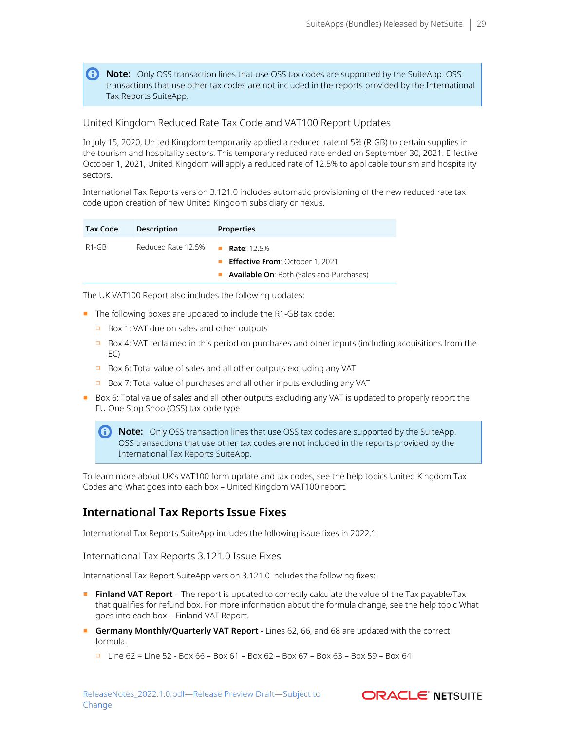**1** Note: Only OSS transaction lines that use OSS tax codes are supported by the SuiteApp. OSS transactions that use other tax codes are not included in the reports provided by the International Tax Reports SuiteApp.

### <span id="page-28-0"></span>United Kingdom Reduced Rate Tax Code and VAT100 Report Updates

In July 15, 2020, United Kingdom temporarily applied a reduced rate of 5% (R-GB) to certain supplies in the tourism and hospitality sectors. This temporary reduced rate ended on September 30, 2021. Effective October 1, 2021, United Kingdom will apply a reduced rate of 12.5% to applicable tourism and hospitality sectors.

International Tax Reports version 3.121.0 includes automatic provisioning of the new reduced rate tax code upon creation of new United Kingdom subsidiary or nexus.

| <b>Tax Code</b> | <b>Description</b> | <b>Properties</b>                               |  |  |
|-----------------|--------------------|-------------------------------------------------|--|--|
| $R1-GB$         | Reduced Rate 12.5% | <b>Rate: 12.5%</b>                              |  |  |
|                 |                    | <b>Effective From: October 1, 2021</b>          |  |  |
|                 |                    | <b>Available On: Both (Sales and Purchases)</b> |  |  |

The UK VAT100 Report also includes the following updates:

- The following boxes are updated to include the R1-GB tax code:
	- □ Box 1: VAT due on sales and other outputs
	- $\Box$  Box 4: VAT reclaimed in this period on purchases and other inputs (including acquisitions from the EC)
	- □ Box 6: Total value of sales and all other outputs excluding any VAT
	- □ Box 7: Total value of purchases and all other inputs excluding any VAT
- Box 6: Total value of sales and all other outputs excluding any VAT is updated to properly report the EU One Stop Shop (OSS) tax code type.

**Note:** Only OSS transaction lines that use OSS tax codes are supported by the SuiteApp. OSS transactions that use other tax codes are not included in the reports provided by the International Tax Reports SuiteApp.

To learn more about UK's VAT100 form update and tax codes, see the help topics United Kingdom Tax Codes and What goes into each box – United Kingdom VAT100 report.

### <span id="page-28-1"></span>**International Tax Reports Issue Fixes**

<span id="page-28-2"></span>International Tax Reports SuiteApp includes the following issue fixes in 2022.1:

International Tax Reports 3.121.0 Issue Fixes

International Tax Report SuiteApp version 3.121.0 includes the following fixes:

- **Finland VAT Report** The report is updated to correctly calculate the value of the Tax payable/Tax that qualifies for refund box. For more information about the formula change, see the help topic What goes into each box – Finland VAT Report.
- **Germany Monthly/Quarterly VAT Report** Lines 62, 66, and 68 are updated with the correct formula:
	- $\Box$  Line 62 = Line 52 Box 66 Box 61 Box 62 Box 67 Box 63 Box 59 Box 64

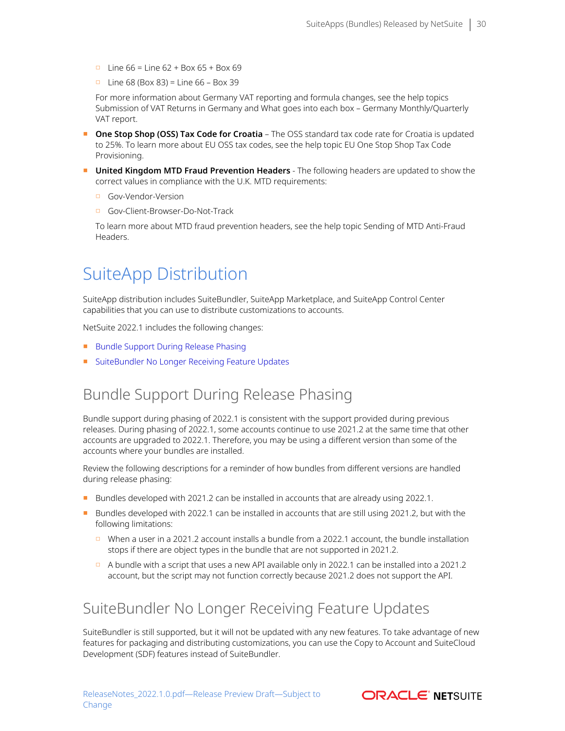- $\Box$  Line 66 = Line 62 + Box 65 + Box 69
- $\Box$  Line 68 (Box 83) = Line 66 Box 39

For more information about Germany VAT reporting and formula changes, see the help topics Submission of VAT Returns in Germany and What goes into each box – Germany Monthly/Quarterly VAT report.

- **One Stop Shop (OSS) Tax Code for Croatia** The OSS standard tax code rate for Croatia is updated to 25%. To learn more about EU OSS tax codes, see the help topic EU One Stop Shop Tax Code Provisioning.
- **United Kingdom MTD Fraud Prevention Headers** The following headers are updated to show the correct values in compliance with the U.K. MTD requirements:
	- □ Gov-Vendor-Version
	- □ Gov-Client-Browser-Do-Not-Track

To learn more about MTD fraud prevention headers, see the help topic Sending of MTD Anti-Fraud Headers.

# <span id="page-29-0"></span>SuiteApp Distribution

SuiteApp distribution includes SuiteBundler, SuiteApp Marketplace, and SuiteApp Control Center capabilities that you can use to distribute customizations to accounts.

NetSuite 2022.1 includes the following changes:

- [Bundle Support During Release Phasing](#page-29-1)
- <span id="page-29-1"></span>■ [SuiteBundler No Longer Receiving Feature Updates](#page-29-2)

## Bundle Support During Release Phasing

Bundle support during phasing of 2022.1 is consistent with the support provided during previous releases. During phasing of 2022.1, some accounts continue to use 2021.2 at the same time that other accounts are upgraded to 2022.1. Therefore, you may be using a different version than some of the accounts where your bundles are installed.

Review the following descriptions for a reminder of how bundles from different versions are handled during release phasing:

- Bundles developed with 2021.2 can be installed in accounts that are already using 2022.1.
- Bundles developed with 2022.1 can be installed in accounts that are still using 2021.2, but with the following limitations:
	- □ When a user in a 2021.2 account installs a bundle from a 2022.1 account, the bundle installation stops if there are object types in the bundle that are not supported in 2021.2.
	- □ A bundle with a script that uses a new API available only in 2022.1 can be installed into a 2021.2 account, but the script may not function correctly because 2021.2 does not support the API.

## <span id="page-29-2"></span>SuiteBundler No Longer Receiving Feature Updates

SuiteBundler is still supported, but it will not be updated with any new features. To take advantage of new features for packaging and distributing customizations, you can use the Copy to Account and SuiteCloud Development (SDF) features instead of SuiteBundler.

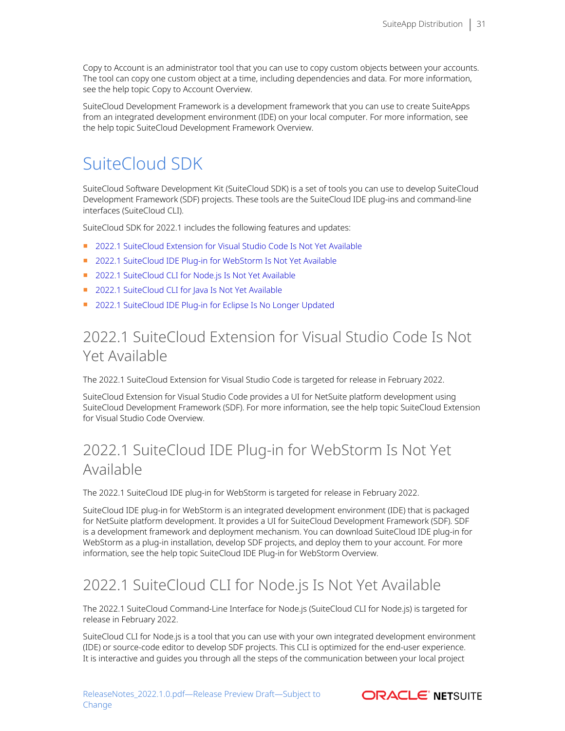Copy to Account is an administrator tool that you can use to copy custom objects between your accounts. The tool can copy one custom object at a time, including dependencies and data. For more information, see the help topic Copy to Account Overview.

SuiteCloud Development Framework is a development framework that you can use to create SuiteApps from an integrated development environment (IDE) on your local computer. For more information, see the help topic SuiteCloud Development Framework Overview.

# <span id="page-30-0"></span>SuiteCloud SDK

SuiteCloud Software Development Kit (SuiteCloud SDK) is a set of tools you can use to develop SuiteCloud Development Framework (SDF) projects. These tools are the SuiteCloud IDE plug-ins and command-line interfaces (SuiteCloud CLI).

SuiteCloud SDK for 2022.1 includes the following features and updates:

- [2022.1 SuiteCloud Extension for Visual Studio Code Is Not Yet Available](#page-30-1)
- [2022.1 SuiteCloud IDE Plug-in for WebStorm Is Not Yet Available](#page-30-2)
- [2022.1 SuiteCloud CLI for Node.js Is Not Yet Available](#page-30-3)
- [2022.1 SuiteCloud CLI for Java Is Not Yet Available](#page-31-0)
- <span id="page-30-1"></span>■ [2022.1 SuiteCloud IDE Plug-in for Eclipse Is No Longer Updated](#page-31-1)

# 2022.1 SuiteCloud Extension for Visual Studio Code Is Not Yet Available

The 2022.1 SuiteCloud Extension for Visual Studio Code is targeted for release in February 2022.

SuiteCloud Extension for Visual Studio Code provides a UI for NetSuite platform development using SuiteCloud Development Framework (SDF). For more information, see the help topic SuiteCloud Extension for Visual Studio Code Overview.

# <span id="page-30-2"></span>2022.1 SuiteCloud IDE Plug-in for WebStorm Is Not Yet Available

The 2022.1 SuiteCloud IDE plug-in for WebStorm is targeted for release in February 2022.

SuiteCloud IDE plug-in for WebStorm is an integrated development environment (IDE) that is packaged for NetSuite platform development. It provides a UI for SuiteCloud Development Framework (SDF). SDF is a development framework and deployment mechanism. You can download SuiteCloud IDE plug-in for WebStorm as a plug-in installation, develop SDF projects, and deploy them to your account. For more information, see the help topic SuiteCloud IDE Plug-in for WebStorm Overview.

# <span id="page-30-3"></span>2022.1 SuiteCloud CLI for Node.js Is Not Yet Available

The 2022.1 SuiteCloud Command-Line Interface for Node.js (SuiteCloud CLI for Node.js) is targeted for release in February 2022.

SuiteCloud CLI for Node.js is a tool that you can use with your own integrated development environment (IDE) or source-code editor to develop SDF projects. This CLI is optimized for the end-user experience. It is interactive and guides you through all the steps of the communication between your local project

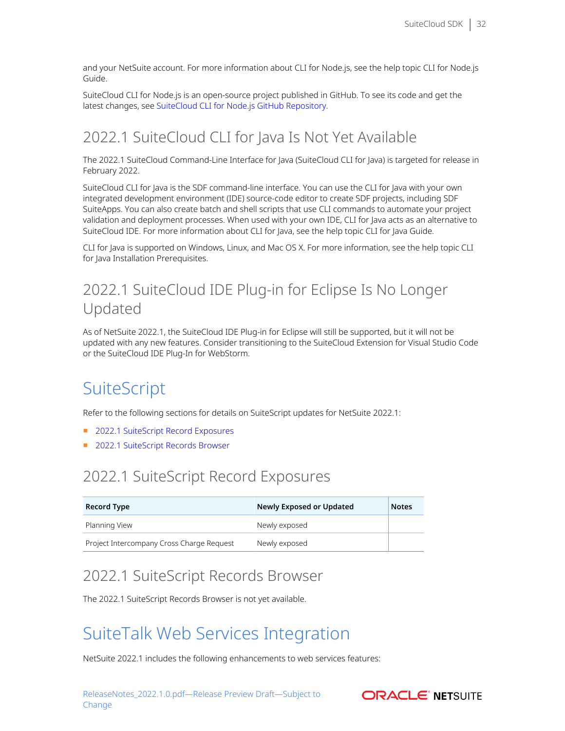and your NetSuite account. For more information about CLI for Node.js, see the help topic CLI for Node.js Guide.

SuiteCloud CLI for Node.js is an open-source project published in GitHub. To see its code and get the latest changes, see [SuiteCloud CLI for Node.js GitHub Repository.](https://github.com/oracle/netsuite-suitecloud-sdk)

# <span id="page-31-0"></span>2022.1 SuiteCloud CLI for Java Is Not Yet Available

The 2022.1 SuiteCloud Command-Line Interface for Java (SuiteCloud CLI for Java) is targeted for release in February 2022.

SuiteCloud CLI for Java is the SDF command-line interface. You can use the CLI for Java with your own integrated development environment (IDE) source-code editor to create SDF projects, including SDF SuiteApps. You can also create batch and shell scripts that use CLI commands to automate your project validation and deployment processes. When used with your own IDE, CLI for Java acts as an alternative to SuiteCloud IDE. For more information about CLI for Java, see the help topic CLI for Java Guide.

CLI for Java is supported on Windows, Linux, and Mac OS X. For more information, see the help topic CLI for Java Installation Prerequisites.

# <span id="page-31-1"></span>2022.1 SuiteCloud IDE Plug-in for Eclipse Is No Longer Updated

As of NetSuite 2022.1, the SuiteCloud IDE Plug-in for Eclipse will still be supported, but it will not be updated with any new features. Consider transitioning to the SuiteCloud Extension for Visual Studio Code or the SuiteCloud IDE Plug-In for WebStorm.

# <span id="page-31-2"></span>**SuiteScript**

Refer to the following sections for details on SuiteScript updates for NetSuite 2022.1:

- [2022.1 SuiteScript Record Exposures](#page-31-3)
- <span id="page-31-3"></span>■ [2022.1 SuiteScript Records Browser](#page-31-4)

# 2022.1 SuiteScript Record Exposures

| <b>Record Type</b>                        | Newly Exposed or Updated | <b>Notes</b> |
|-------------------------------------------|--------------------------|--------------|
| Planning View                             | Newly exposed            |              |
| Project Intercompany Cross Charge Request | Newly exposed            |              |

# <span id="page-31-4"></span>2022.1 SuiteScript Records Browser

<span id="page-31-5"></span>The 2022.1 SuiteScript Records Browser is not yet available.

# SuiteTalk Web Services Integration

NetSuite 2022.1 includes the following enhancements to web services features:

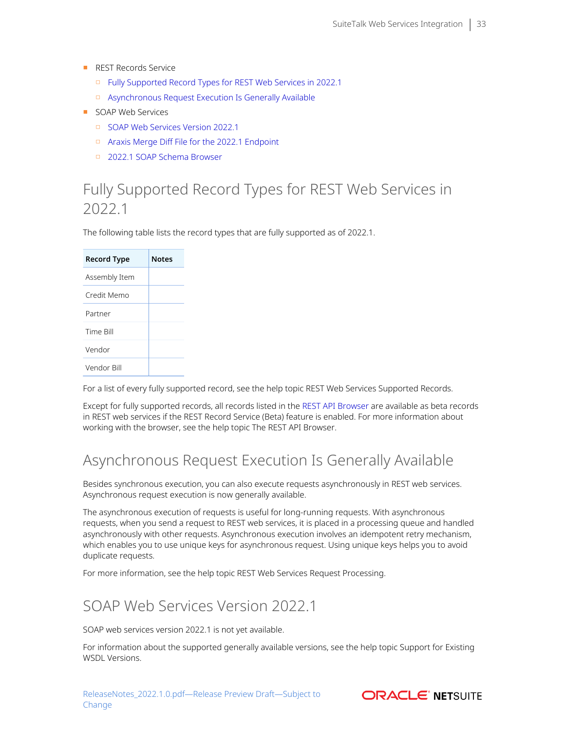- REST Records Service
	- □ [Fully Supported Record Types for REST Web Services in 2022.1](#page-32-0)
	- □ [Asynchronous Request Execution Is Generally Available](#page-32-1)
- SOAP Web Services
	- □ [SOAP Web Services Version 2022.1](#page-32-2)
	- □ [Araxis Merge Diff File for the 2022.1 Endpoint](#page-33-0)
	- □ [2022.1 SOAP Schema Browser](#page-34-0)

# <span id="page-32-0"></span>Fully Supported Record Types for REST Web Services in 2022.1

The following table lists the record types that are fully supported as of 2022.1.

| <b>Record Type</b> | <b>Notes</b> |
|--------------------|--------------|
| Assembly Item      |              |
| Credit Memo        |              |
| Partner            |              |
| Time Bill          |              |
| Vendor             |              |
| Vendor Bill        |              |

For a list of every fully supported record, see the help topic REST Web Services Supported Records.

Except for fully supported records, all records listed in the [REST API Browser](https://system.netsuite.com/help/helpcenter/en_US/APIs/REST_API_Browser/record/v1/2021.2/index.html) are available as beta records in REST web services if the REST Record Service (Beta) feature is enabled. For more information about working with the browser, see the help topic The REST API Browser.

# <span id="page-32-1"></span>Asynchronous Request Execution Is Generally Available

Besides synchronous execution, you can also execute requests asynchronously in REST web services. Asynchronous request execution is now generally available.

The asynchronous execution of requests is useful for long-running requests. With asynchronous requests, when you send a request to REST web services, it is placed in a processing queue and handled asynchronously with other requests. Asynchronous execution involves an idempotent retry mechanism, which enables you to use unique keys for asynchronous request. Using unique keys helps you to avoid duplicate requests.

<span id="page-32-2"></span>For more information, see the help topic REST Web Services Request Processing.

# SOAP Web Services Version 2022.1

SOAP web services version 2022.1 is not yet available.

For information about the supported generally available versions, see the help topic Support for Existing WSDL Versions.

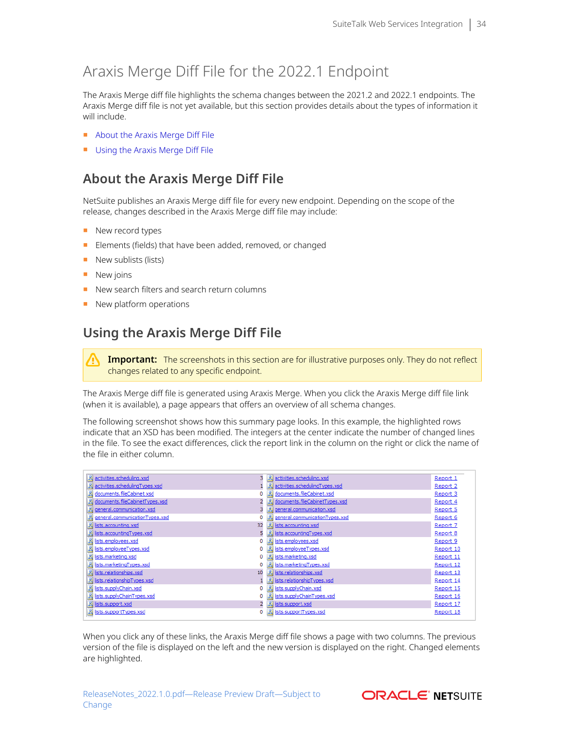# <span id="page-33-0"></span>Araxis Merge Diff File for the 2022.1 Endpoint

The Araxis Merge diff file highlights the schema changes between the 2021.2 and 2022.1 endpoints. The Araxis Merge diff file is not yet available, but this section provides details about the types of information it will include.

- [About the Araxis Merge Diff File](#page-33-1)
- <span id="page-33-1"></span>■ [Using the Araxis Merge Diff File](#page-33-2)

## **About the Araxis Merge Diff File**

NetSuite publishes an Araxis Merge diff file for every new endpoint. Depending on the scope of the release, changes described in the Araxis Merge diff file may include:

- New record types
- Elements (fields) that have been added, removed, or changed
- New sublists (lists)
- New joins
- New search filters and search return columns
- <span id="page-33-2"></span>■ New platform operations

## **Using the Araxis Merge Diff File**

**Important:** The screenshots in this section are for illustrative purposes only. They do not reflect changes related to any specific endpoint.

The Araxis Merge diff file is generated using Araxis Merge. When you click the Araxis Merge diff file link (when it is available), a page appears that offers an overview of all schema changes.

The following screenshot shows how this summary page looks. In this example, the highlighted rows indicate that an XSD has been modified. The integers at the center indicate the number of changed lines in the file. To see the exact differences, click the report link in the column on the right or click the name of the file in either column.

| 品 activities.scheduling.xsd        |         | 品 activities.scheduling.xsd      | Report 1  |
|------------------------------------|---------|----------------------------------|-----------|
| 品 activities.schedulingTypes.xsd   |         | 品 activities.schedulingTypes.xsd | Report 2  |
| <b>图 documents.fileCabinet.xsd</b> | 뵓       | documents.fileCabinet.xsd        | Report 3  |
| 品 documents.fileCabinetTypes.xsd   |         | documents.fileCabinetTypes.xsd   | Report 4  |
| 品 general.communication.xsd        |         | general.communication.xsd        | Report 5  |
| 品 general.communicationTypes.xsd   |         | general.communicationTypes.xsd   | Report 6  |
| 品 lists.accounting.xsd             | 32<br>禺 | lists.accounting.xsd             | Report 7  |
| 品 lists.accountingTypes.xsd        | 囷       | lists.accountingTypes.xsd        | Report 8  |
| 品 lists.employees.xsd              | 禺<br>0  | lists.employees.xsd              | Report 9  |
| 品 lists.employeeTypes.xsd          |         | 品 lists.employeeTypes.xsd        | Report 10 |
| <b>禺 lists.marketing.xsd</b>       |         | <b>禺</b> lists.marketing.xsd     | Report 11 |
| 品 lists.marketingTypes.xsd         |         | 品 lists.marketingTypes.xsd       | Report 12 |
| 品 lists.relationships.xsd          | 10      | 品 lists.relationships.xsd        | Report 13 |
| 品 lists.relationshipTypes.xsd      |         | 品 lists.relationshipTypes.xsd    | Report 14 |
| 品 lists.supplyChain.xsd            |         | 品 lists.supplyChain.xsd          | Report 15 |
| 品 lists.supplyChainTypes.xsd       | 禺       | lists.supplyChainTypes.xsd       | Report 16 |
| <u>통 lists.support.xsd</u>         |         | 品 lists.support.xsd              | Report 17 |
| 品 lists.supportTypes.xsd           |         | 品 lists.supportTypes.xsd         | Report 18 |
|                                    |         |                                  |           |

When you click any of these links, the Araxis Merge diff file shows a page with two columns. The previous version of the file is displayed on the left and the new version is displayed on the right. Changed elements are highlighted.